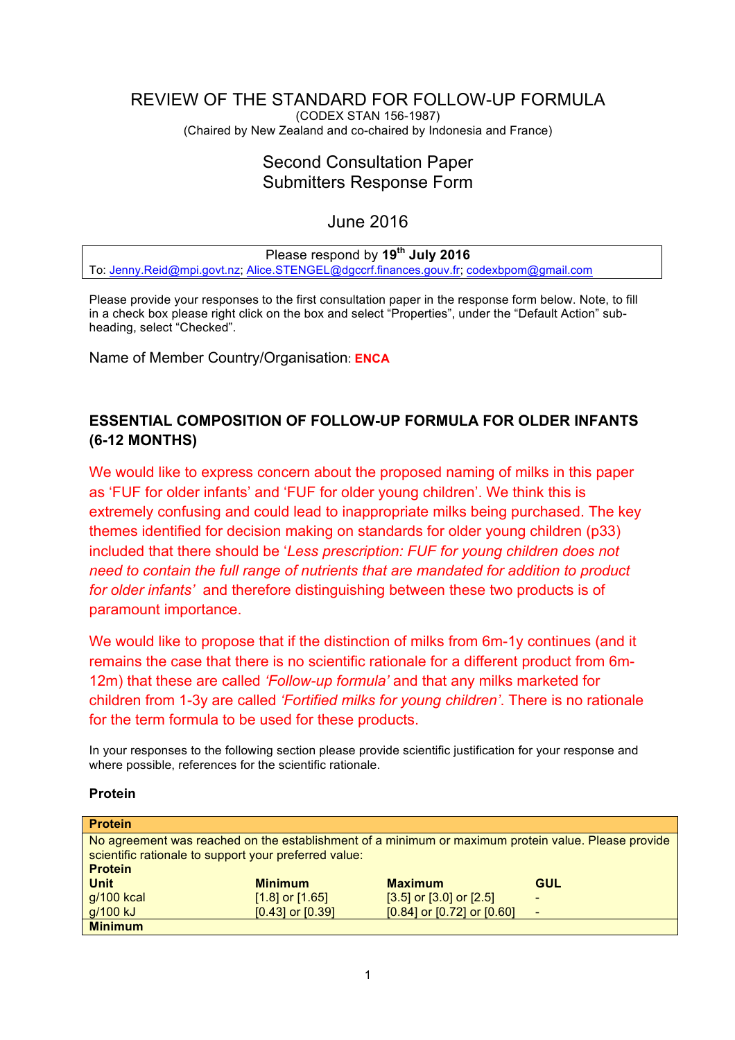#### <span id="page-0-0"></span>REVIEW OF THE STANDARD FOR FOLLOW-UP FORMULA (CODEX STAN 156-1987) (Chaired by New Zealand and co-chaired by Indonesia and France)

# Second Consultation Paper Submitters Response Form

# June 2016

# Please respond by **19th July 2016**

To: [Jenny.Reid@mpi.govt.nz](mailto:Jenny.Reid@mpi.govt.nz); [Alice.STENGEL@dgccrf.finances.gouv.fr](mailto:Alice.STENGEL@dgccrf.finances.gouv.fr); [codexbpom@gmail.com](mailto:codexbpom@gmail.com)

Please provide your responses to the first consultation paper in the response form below. Note, to fill in a check box please right click on the box and select "Properties", under the "Default Action" subheading, select "Checked".

Name of Member Country/Organisation: **ENCA**

# **ESSENTIAL COMPOSITION OF FOLLOW-UP FORMULA FOR OLDER INFANTS (6-12 MONTHS)**

We would like to express concern about the proposed naming of milks in this paper as 'FUF for older infants' and 'FUF for older young children'. We think this is extremely confusing and could lead to inappropriate milks being purchased. The key themes identified for decision making on standards for older young children (p33) included that there should be '*Less prescription: FUF for young children does not need to contain the full range of nutrients that are mandated for addition to product for older infants'* and therefore distinguishing between these two products is of paramount importance.

We would like to propose that if the distinction of milks from 6m-1y continues (and it remains the case that there is no scientific rationale for a different product from 6m-12m) that these are called *'Follow-up formula'* and that any milks marketed for children from 1-3y are called *'Fortified milks for young children'*. There is no rationale for the term formula to be used for these products.

In your responses to the following section please provide scientific justification for your response and where possible, references for the scientific rationale.

## **Protein**

| <b>Protein</b> |                                                       |                                                                                                     |            |
|----------------|-------------------------------------------------------|-----------------------------------------------------------------------------------------------------|------------|
| <b>Protein</b> | scientific rationale to support your preferred value: | No agreement was reached on the establishment of a minimum or maximum protein value. Please provide |            |
| <b>Unit</b>    | <b>Minimum</b>                                        | <b>Maximum</b>                                                                                      | <b>GUL</b> |
| $g/100$ kcal   | $[1.8]$ or $[1.65]$                                   | $[3.5]$ or $[3.0]$ or $[2.5]$                                                                       |            |
| g/100 kJ       | $[0.43]$ or $[0.39]$                                  | $[0.84]$ or $[0.72]$ or $[0.60]$                                                                    |            |
| <b>Minimum</b> |                                                       |                                                                                                     |            |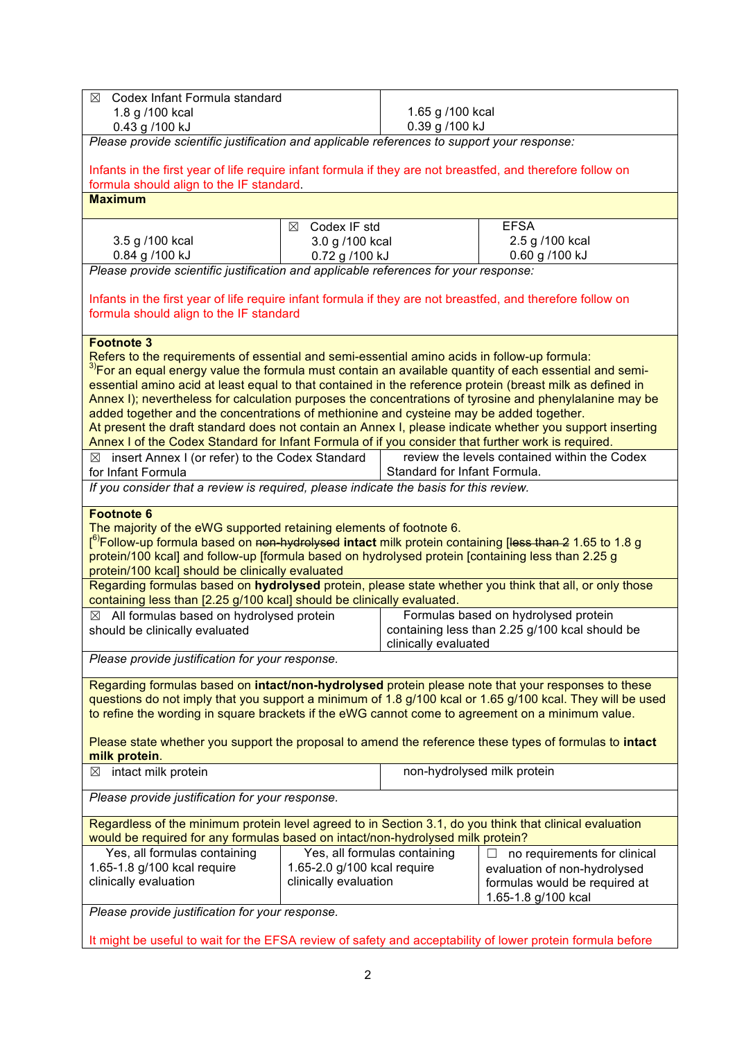| Codex Infant Formula standard<br>⊠                                                                                                                    |                              |                              |                                                |  |
|-------------------------------------------------------------------------------------------------------------------------------------------------------|------------------------------|------------------------------|------------------------------------------------|--|
| 1.8 g /100 kcal                                                                                                                                       |                              | 1.65 g /100 kcal             |                                                |  |
| 0.43 g /100 kJ                                                                                                                                        |                              | 0.39 g /100 kJ               |                                                |  |
| Please provide scientific justification and applicable references to support your response:                                                           |                              |                              |                                                |  |
|                                                                                                                                                       |                              |                              |                                                |  |
| Infants in the first year of life require infant formula if they are not breastfed, and therefore follow on                                           |                              |                              |                                                |  |
| formula should align to the IF standard.                                                                                                              |                              |                              |                                                |  |
| <b>Maximum</b>                                                                                                                                        |                              |                              |                                                |  |
|                                                                                                                                                       | ⊠ Codex IF std               |                              | <b>EFSA</b>                                    |  |
| 3.5 g /100 kcal                                                                                                                                       | 3.0 g /100 kcal              |                              | 2.5 g /100 kcal                                |  |
| 0.84 g /100 kJ                                                                                                                                        | 0.72 g /100 kJ               |                              | 0.60 g /100 kJ                                 |  |
| Please provide scientific justification and applicable references for your response:                                                                  |                              |                              |                                                |  |
|                                                                                                                                                       |                              |                              |                                                |  |
| Infants in the first year of life require infant formula if they are not breastfed, and therefore follow on                                           |                              |                              |                                                |  |
| formula should align to the IF standard                                                                                                               |                              |                              |                                                |  |
|                                                                                                                                                       |                              |                              |                                                |  |
| <b>Footnote 3</b>                                                                                                                                     |                              |                              |                                                |  |
| Refers to the requirements of essential and semi-essential amino acids in follow-up formula:                                                          |                              |                              |                                                |  |
| <sup>3)</sup> For an equal energy value the formula must contain an available quantity of each essential and semi-                                    |                              |                              |                                                |  |
| essential amino acid at least equal to that contained in the reference protein (breast milk as defined in                                             |                              |                              |                                                |  |
| Annex I); nevertheless for calculation purposes the concentrations of tyrosine and phenylalanine may be                                               |                              |                              |                                                |  |
| added together and the concentrations of methionine and cysteine may be added together.                                                               |                              |                              |                                                |  |
| At present the draft standard does not contain an Annex I, please indicate whether you support inserting                                              |                              |                              |                                                |  |
| Annex I of the Codex Standard for Infant Formula of if you consider that further work is required.                                                    |                              |                              |                                                |  |
| $\boxtimes$ insert Annex I (or refer) to the Codex Standard                                                                                           |                              |                              | review the levels contained within the Codex   |  |
| for Infant Formula                                                                                                                                    |                              | Standard for Infant Formula. |                                                |  |
| If you consider that a review is required, please indicate the basis for this review.                                                                 |                              |                              |                                                |  |
|                                                                                                                                                       |                              |                              |                                                |  |
| <b>Footnote 6</b>                                                                                                                                     |                              |                              |                                                |  |
| The majority of the eWG supported retaining elements of footnote 6.                                                                                   |                              |                              |                                                |  |
| [ <sup>6)</sup> Follow-up formula based on <del>non-hydrolysed</del> intact milk protein containing [ <del>less than 2</del> 1.65 to 1.8 g            |                              |                              |                                                |  |
| protein/100 kcal] and follow-up [formula based on hydrolysed protein [containing less than 2.25 g<br>protein/100 kcal] should be clinically evaluated |                              |                              |                                                |  |
| Regarding formulas based on hydrolysed protein, please state whether you think that all, or only those                                                |                              |                              |                                                |  |
| containing less than [2.25 g/100 kcal] should be clinically evaluated.                                                                                |                              |                              |                                                |  |
| $\boxtimes$ All formulas based on hydrolysed protein                                                                                                  |                              |                              | Formulas based on hydrolysed protein           |  |
| should be clinically evaluated                                                                                                                        |                              |                              | containing less than 2.25 g/100 kcal should be |  |
|                                                                                                                                                       |                              | clinically evaluated         |                                                |  |
| Please provide justification for your response.                                                                                                       |                              |                              |                                                |  |
|                                                                                                                                                       |                              |                              |                                                |  |
| Regarding formulas based on intact/non-hydrolysed protein please note that your responses to these                                                    |                              |                              |                                                |  |
| questions do not imply that you support a minimum of 1.8 g/100 kcal or 1.65 g/100 kcal. They will be used                                             |                              |                              |                                                |  |
| to refine the wording in square brackets if the eWG cannot come to agreement on a minimum value.                                                      |                              |                              |                                                |  |
|                                                                                                                                                       |                              |                              |                                                |  |
| Please state whether you support the proposal to amend the reference these types of formulas to intact                                                |                              |                              |                                                |  |
| milk protein.                                                                                                                                         |                              |                              |                                                |  |
| non-hydrolysed milk protein<br>intact milk protein<br>$\boxtimes$                                                                                     |                              |                              |                                                |  |
|                                                                                                                                                       |                              |                              |                                                |  |
| Please provide justification for your response.                                                                                                       |                              |                              |                                                |  |
| Regardless of the minimum protein level agreed to in Section 3.1, do you think that clinical evaluation                                               |                              |                              |                                                |  |
| would be required for any formulas based on intact/non-hydrolysed milk protein?                                                                       |                              |                              |                                                |  |
| Yes, all formulas containing                                                                                                                          | Yes, all formulas containing |                              | no requirements for clinical                   |  |
| 1.65-1.8 g/100 kcal require<br>1.65-2.0 g/100 kcal require<br>evaluation of non-hydrolysed                                                            |                              |                              |                                                |  |
| clinically evaluation                                                                                                                                 |                              |                              |                                                |  |
|                                                                                                                                                       | clinically evaluation        |                              |                                                |  |
|                                                                                                                                                       |                              |                              | formulas would be required at                  |  |
|                                                                                                                                                       |                              |                              | 1.65-1.8 g/100 kcal                            |  |
| Please provide justification for your response.                                                                                                       |                              |                              |                                                |  |

It might be useful to wait for the EFSA review of safety and acceptability of lower protein formula before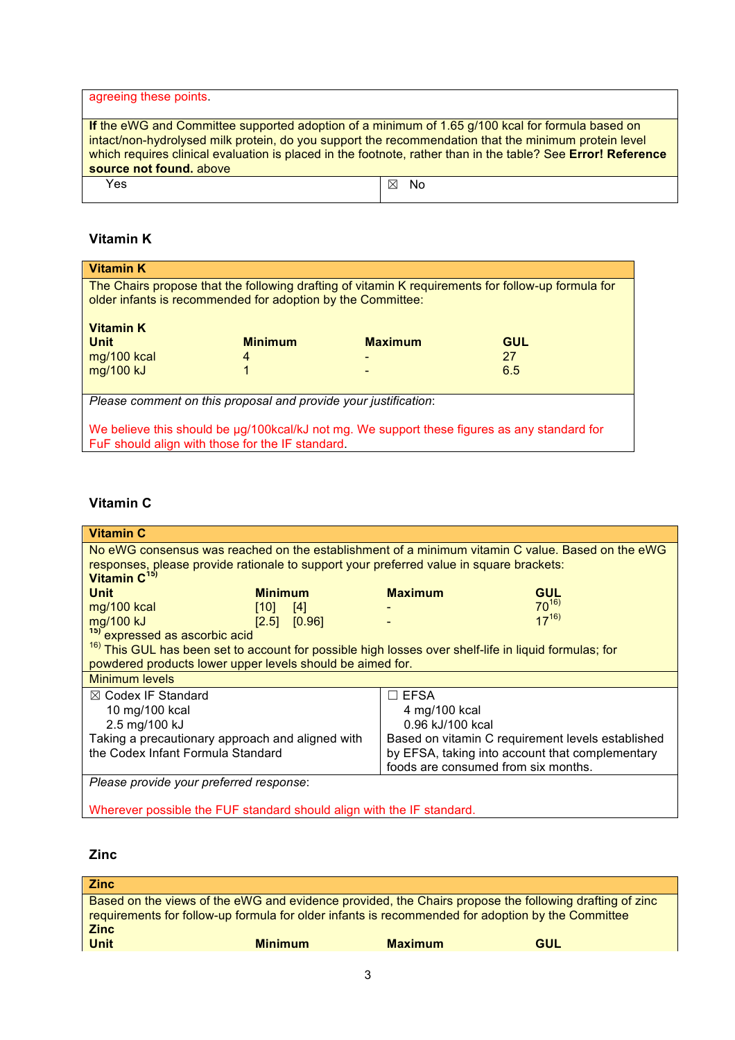| agreeing these points.                                                                                                                                                                                                                                                                                                                              |          |
|-----------------------------------------------------------------------------------------------------------------------------------------------------------------------------------------------------------------------------------------------------------------------------------------------------------------------------------------------------|----------|
|                                                                                                                                                                                                                                                                                                                                                     |          |
| If the eWG and Committee supported adoption of a minimum of 1.65 g/100 kcal for formula based on<br>intact/non-hydrolysed milk protein, do you support the recommendation that the minimum protein level<br>which requires clinical evaluation is placed in the footnote, rather than in the table? See Error! Reference<br>source not found, above |          |
| Yes                                                                                                                                                                                                                                                                                                                                                 | No.<br>⊠ |

# **Vitamin K**

| <b>Vitamin K</b>                                                                                                                                                  |                                                  |                |            |  |  |
|-------------------------------------------------------------------------------------------------------------------------------------------------------------------|--------------------------------------------------|----------------|------------|--|--|
| The Chairs propose that the following drafting of vitamin K requirements for follow-up formula for<br>older infants is recommended for adoption by the Committee: |                                                  |                |            |  |  |
| <b>Vitamin K</b><br><b>Unit</b>                                                                                                                                   | <b>Minimum</b>                                   | <b>Maximum</b> | <b>GUL</b> |  |  |
| mg/100 kcal                                                                                                                                                       | 4                                                |                | 27         |  |  |
| mg/100 kJ                                                                                                                                                         |                                                  |                | 6.5        |  |  |
| Please comment on this proposal and provide your justification:                                                                                                   |                                                  |                |            |  |  |
|                                                                                                                                                                   |                                                  |                |            |  |  |
| We believe this should be µg/100kcal/kJ not mg. We support these figures as any standard for                                                                      |                                                  |                |            |  |  |
|                                                                                                                                                                   | FuF should align with those for the IF standard. |                |            |  |  |

# **Vitamin C**

| <b>Vitamin C</b>                                                                                                 |                |        |                |            |  |
|------------------------------------------------------------------------------------------------------------------|----------------|--------|----------------|------------|--|
| No eWG consensus was reached on the establishment of a minimum vitamin C value. Based on the eWG                 |                |        |                |            |  |
| responses, please provide rationale to support your preferred value in square brackets:                          |                |        |                |            |  |
| Vitamin $C^{15}$                                                                                                 |                |        |                |            |  |
| <b>Unit</b>                                                                                                      | <b>Minimum</b> |        | <b>Maximum</b> | <b>GUL</b> |  |
| mg/100 kcal                                                                                                      | [10]           | $[4]$  |                | $70^{16}$  |  |
| mg/100 kJ                                                                                                        | [2.5]          | [0.96] |                | $17^{16}$  |  |
| <sup>15)</sup> expressed as ascorbic acid                                                                        |                |        |                |            |  |
| <sup>16)</sup> This GUL has been set to account for possible high losses over shelf-life in liquid formulas; for |                |        |                |            |  |
| powdered products lower upper levels should be aimed for.                                                        |                |        |                |            |  |
| <b>Minimum levels</b>                                                                                            |                |        |                |            |  |
| $\boxtimes$ Codex IF Standard<br>∃ EFSA                                                                          |                |        |                |            |  |
| 10 mg/100 kcal<br>4 mg/100 kcal                                                                                  |                |        |                |            |  |
| 2.5 mg/100 kJ<br>0.96 kJ/100 kcal                                                                                |                |        |                |            |  |
| Taking a precautionary approach and aligned with<br>Based on vitamin C requirement levels established            |                |        |                |            |  |
| the Codex Infant Formula Standard<br>by EFSA, taking into account that complementary                             |                |        |                |            |  |
| foods are consumed from six months.                                                                              |                |        |                |            |  |
| Please provide your preferred response:                                                                          |                |        |                |            |  |
|                                                                                                                  |                |        |                |            |  |
| Wherever possible the FUF standard should align with the IF standard.                                            |                |        |                |            |  |

# **Zinc**

| <b>Zinc</b>                                                                                            |                |                |     |
|--------------------------------------------------------------------------------------------------------|----------------|----------------|-----|
| Based on the views of the eWG and evidence provided, the Chairs propose the following drafting of zinc |                |                |     |
| requirements for follow-up formula for older infants is recommended for adoption by the Committee      |                |                |     |
| <b>Zinc</b>                                                                                            |                |                |     |
| <b>Unit</b>                                                                                            | <b>Minimum</b> | <b>Maximum</b> | GUL |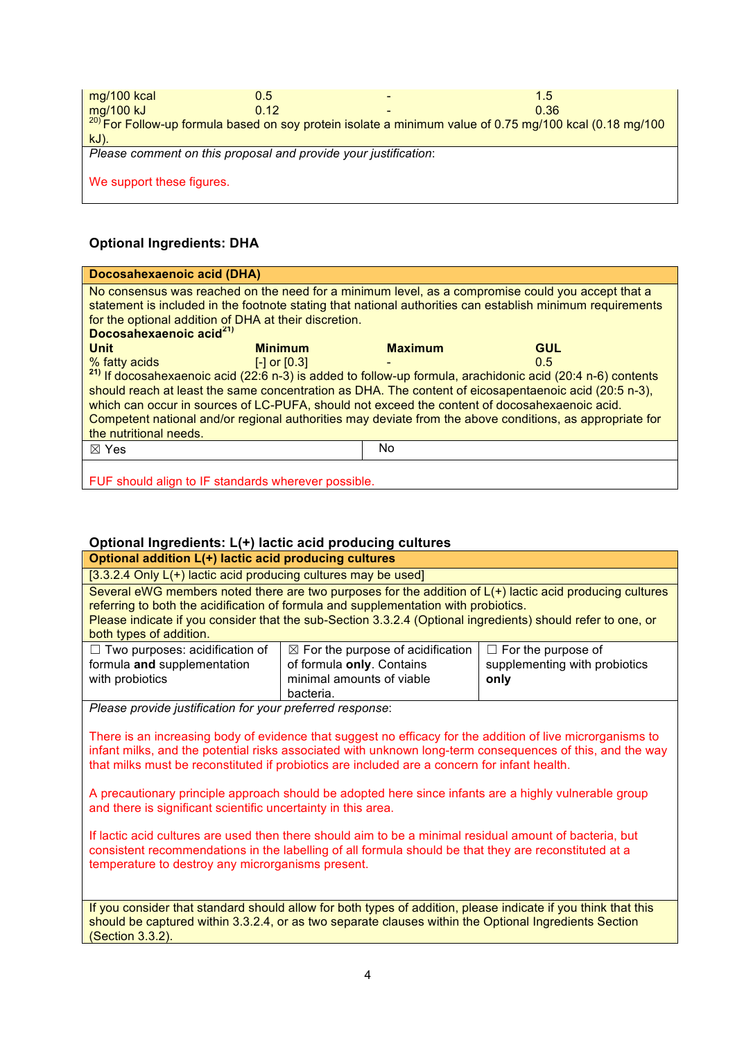| mg/100 kcal                                                     | 0.5  |  | 1.5                                                                                                         |  |
|-----------------------------------------------------------------|------|--|-------------------------------------------------------------------------------------------------------------|--|
| mg/100 kJ                                                       | 0.12 |  | 0.36                                                                                                        |  |
|                                                                 |      |  | $^{20}$ For Follow-up formula based on soy protein isolate a minimum value of 0.75 mg/100 kcal (0.18 mg/100 |  |
| $kJ$ ).                                                         |      |  |                                                                                                             |  |
| Please comment on this proposal and provide your justification: |      |  |                                                                                                             |  |
|                                                                 |      |  |                                                                                                             |  |
| We support these figures.                                       |      |  |                                                                                                             |  |
|                                                                 |      |  |                                                                                                             |  |

# **Optional Ingredients: DHA**

| <b>Docosahexaenoic acid (DHA)</b>                                                                                     |                  |                |            |  |
|-----------------------------------------------------------------------------------------------------------------------|------------------|----------------|------------|--|
| No consensus was reached on the need for a minimum level, as a compromise could you accept that a                     |                  |                |            |  |
| statement is included in the footnote stating that national authorities can establish minimum requirements            |                  |                |            |  |
| for the optional addition of DHA at their discretion.                                                                 |                  |                |            |  |
| Docosahexaenoic acid <sup>21)</sup>                                                                                   |                  |                |            |  |
| <b>Unit</b>                                                                                                           | <b>Minimum</b>   | <b>Maximum</b> | <b>GUL</b> |  |
| % fatty acids                                                                                                         | $[-]$ or $[0.3]$ |                | 0.5        |  |
| <sup>21)</sup> If docosahexaenoic acid (22:6 n-3) is added to follow-up formula, arachidonic acid (20:4 n-6) contents |                  |                |            |  |
| should reach at least the same concentration as DHA. The content of eicosapentaenoic acid (20:5 n-3),                 |                  |                |            |  |
| which can occur in sources of LC-PUFA, should not exceed the content of docosahexaenoic acid.                         |                  |                |            |  |
| Competent national and/or regional authorities may deviate from the above conditions, as appropriate for              |                  |                |            |  |
| the nutritional needs.                                                                                                |                  |                |            |  |
| $\boxtimes$ Yes                                                                                                       |                  | No.            |            |  |
|                                                                                                                       |                  |                |            |  |
|                                                                                                                       |                  |                |            |  |
| FUF should align to IF standards wherever possible.                                                                   |                  |                |            |  |

# **Optional Ingredients: L(+) lactic acid producing cultures**

| Optional addition L(+) lactic acid producing cultures                                                                                                                                                                                                                                                                                                                                                                                                                                                                                                                                                                                                                                                                 |  |  |  |  |
|-----------------------------------------------------------------------------------------------------------------------------------------------------------------------------------------------------------------------------------------------------------------------------------------------------------------------------------------------------------------------------------------------------------------------------------------------------------------------------------------------------------------------------------------------------------------------------------------------------------------------------------------------------------------------------------------------------------------------|--|--|--|--|
| [3.3.2.4 Only $L(+)$ lactic acid producing cultures may be used]                                                                                                                                                                                                                                                                                                                                                                                                                                                                                                                                                                                                                                                      |  |  |  |  |
| Several eWG members noted there are two purposes for the addition of L(+) lactic acid producing cultures<br>referring to both the acidification of formula and supplementation with probiotics.<br>Please indicate if you consider that the sub-Section 3.3.2.4 (Optional ingredients) should refer to one, or<br>both types of addition.                                                                                                                                                                                                                                                                                                                                                                             |  |  |  |  |
| $\Box$ Two purposes: acidification of<br>$\boxtimes$ For the purpose of acidification<br>$\Box$ For the purpose of<br>formula and supplementation<br>of formula only. Contains<br>supplementing with probiotics<br>with probiotics<br>minimal amounts of viable<br>only<br>bacteria.                                                                                                                                                                                                                                                                                                                                                                                                                                  |  |  |  |  |
| Please provide justification for your preferred response:                                                                                                                                                                                                                                                                                                                                                                                                                                                                                                                                                                                                                                                             |  |  |  |  |
| There is an increasing body of evidence that suggest no efficacy for the addition of live microrganisms to<br>infant milks, and the potential risks associated with unknown long-term consequences of this, and the way<br>that milks must be reconstituted if probiotics are included are a concern for infant health.<br>A precautionary principle approach should be adopted here since infants are a highly vulnerable group<br>and there is significant scientific uncertainty in this area.<br>If lactic acid cultures are used then there should aim to be a minimal residual amount of bacteria, but<br>consistent recommendations in the labelling of all formula should be that they are reconstituted at a |  |  |  |  |
| temperature to destroy any microrganisms present.                                                                                                                                                                                                                                                                                                                                                                                                                                                                                                                                                                                                                                                                     |  |  |  |  |
|                                                                                                                                                                                                                                                                                                                                                                                                                                                                                                                                                                                                                                                                                                                       |  |  |  |  |
| If you consider that standard should allow for both types of addition, please indicate if you think that this<br>should be captured within 3.3.2.4, or as two separate clauses within the Optional Ingredients Section<br>(Section 3.3.2).                                                                                                                                                                                                                                                                                                                                                                                                                                                                            |  |  |  |  |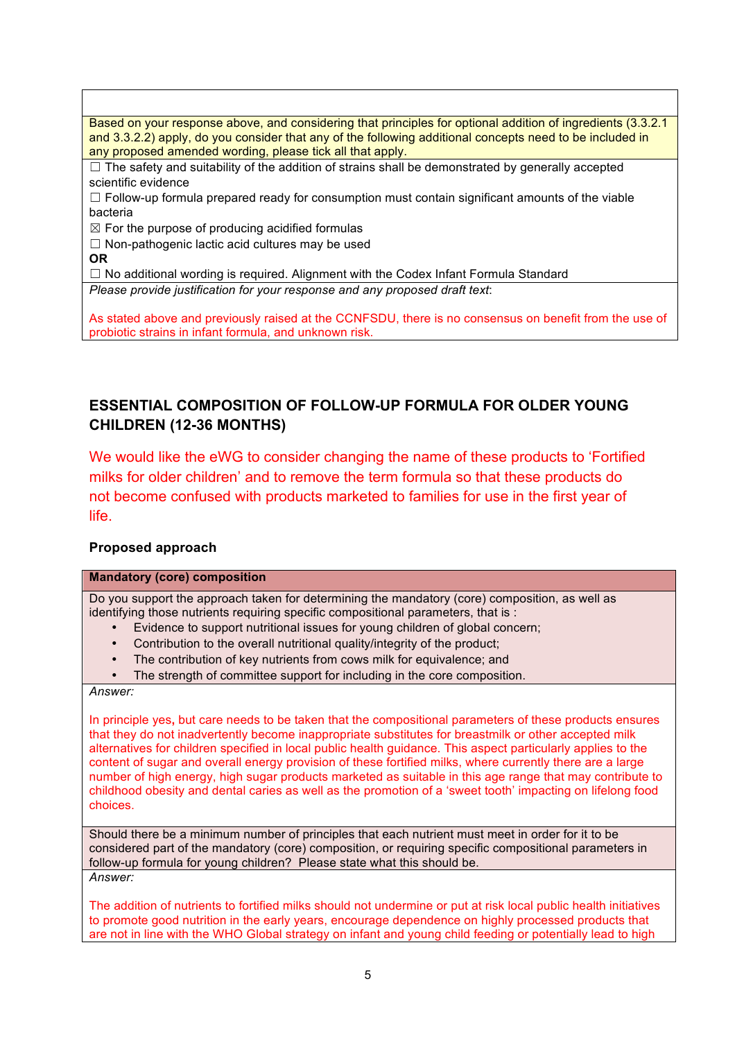Based on your response above, and considering that principles for optional addition of ingredients (3.3.2.1 and 3.3.2.2) apply, do you consider that any of the following additional concepts need to be included in any proposed amended wording, please tick all that apply.  $\Box$  The safety and suitability of the addition of strains shall be demonstrated by generally accepted scientific evidence  $\Box$  Follow-up formula prepared ready for consumption must contain significant amounts of the viable bacteria  $\boxtimes$  For the purpose of producing acidified formulas  $\Box$  Non-pathogenic lactic acid cultures may be used **OR**  $\Box$  No additional wording is required. Alignment with the Codex Infant Formula Standard *Please provide justification for your response and any proposed draft text*:

As stated above and previously raised at the CCNFSDU, there is no consensus on benefit from the use of probiotic strains in infant formula, and unknown risk.

# **ESSENTIAL COMPOSITION OF FOLLOW-UP FORMULA FOR OLDER YOUNG CHILDREN (12-36 MONTHS)**

We would like the eWG to consider changing the name of these products to 'Fortified milks for older children' and to remove the term formula so that these products do not become confused with products marketed to families for use in the first year of life.

## **Proposed approach**

#### **Mandatory (core) composition**

Do you support the approach taken for determining the mandatory (core) composition, as well as identifying those nutrients requiring specific compositional parameters, that is :

- Evidence to support nutritional issues for young children of global concern;
- Contribution to the overall nutritional quality/integrity of the product;
- The contribution of key nutrients from cows milk for equivalence; and
- The strength of committee support for including in the core composition.

#### *Answer:*

In principle yes**,** but care needs to be taken that the compositional parameters of these products ensures that they do not inadvertently become inappropriate substitutes for breastmilk or other accepted milk alternatives for children specified in local public health guidance. This aspect particularly applies to the content of sugar and overall energy provision of these fortified milks, where currently there are a large number of high energy, high sugar products marketed as suitable in this age range that may contribute to childhood obesity and dental caries as well as the promotion of a 'sweet tooth' impacting on lifelong food choices.

Should there be a minimum number of principles that each nutrient must meet in order for it to be considered part of the mandatory (core) composition, or requiring specific compositional parameters in follow-up formula for young children? Please state what this should be. *Answer:*

The addition of nutrients to fortified milks should not undermine or put at risk local public health initiatives to promote good nutrition in the early years, encourage dependence on highly processed products that are not in line with the WHO Global strategy on infant and young child feeding or potentially lead to high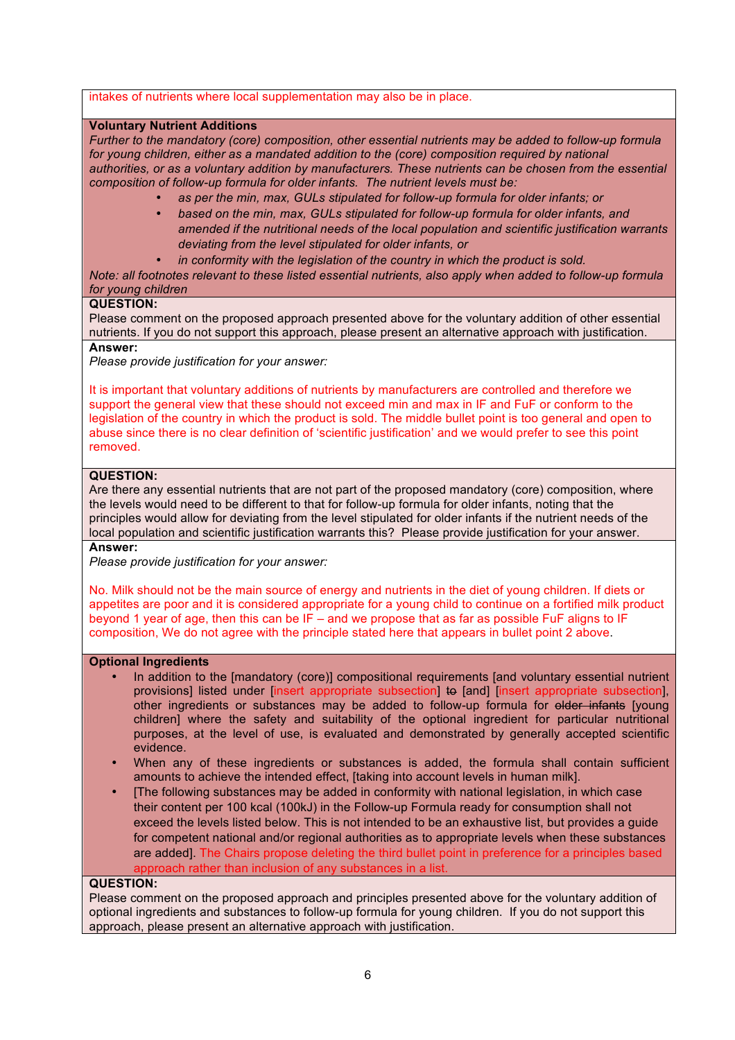#### intakes of nutrients where local supplementation may also be in place.

#### **Voluntary Nutrient Additions**

*Further to the mandatory (core) composition, other essential nutrients may be added to follow-up formula*  for young children, either as a mandated addition to the (core) composition required by national *authorities, or as a voluntary addition by manufacturers. These nutrients can be chosen from the essential composition of follow-up formula for older infants. The nutrient levels must be:*

- *as per the min, max, GULs stipulated for follow-up formula for older infants; or*
- *based on the min, max, GULs stipulated for follow-up formula for older infants, and amended if the nutritional needs of the local population and scientific justification warrants deviating from the level stipulated for older infants, or*
	- *in conformity with the legislation of the country in which the product is sold.*

*Note: all footnotes relevant to these listed essential nutrients, also apply when added to follow-up formula for young children*

#### **QUESTION:**

Please comment on the proposed approach presented above for the voluntary addition of other essential nutrients. If you do not support this approach, please present an alternative approach with justification. **Answer:**

#### *Please provide justification for your answer:*

It is important that voluntary additions of nutrients by manufacturers are controlled and therefore we support the general view that these should not exceed min and max in IF and FuF or conform to the legislation of the country in which the product is sold. The middle bullet point is too general and open to abuse since there is no clear definition of 'scientific justification' and we would prefer to see this point removed.

#### **QUESTION:**

Are there any essential nutrients that are not part of the proposed mandatory (core) composition, where the levels would need to be different to that for follow-up formula for older infants, noting that the principles would allow for deviating from the level stipulated for older infants if the nutrient needs of the local population and scientific justification warrants this? Please provide justification for your answer. **Answer:**

*Please provide justification for your answer:*

No. Milk should not be the main source of energy and nutrients in the diet of young children. If diets or appetites are poor and it is considered appropriate for a young child to continue on a fortified milk product beyond 1 year of age, then this can be IF – and we propose that as far as possible FuF aligns to IF composition, We do not agree with the principle stated here that appears in bullet point 2 above.

#### **Optional Ingredients**

- In addition to the [mandatory (core)] compositional requirements [and voluntary essential nutrient provisions] listed under [insert appropriate subsection] to [and] [insert appropriate subsection], other ingredients or substances may be added to follow-up formula for older infants [young children] where the safety and suitability of the optional ingredient for particular nutritional purposes, at the level of use, is evaluated and demonstrated by generally accepted scientific evidence.
- When any of these ingredients or substances is added, the formula shall contain sufficient amounts to achieve the intended effect. Itaking into account levels in human milk].
- [The following substances may be added in conformity with national legislation, in which case their content per 100 kcal (100kJ) in the Follow-up Formula ready for consumption shall not exceed the levels listed below. This is not intended to be an exhaustive list, but provides a guide for competent national and/or regional authorities as to appropriate levels when these substances are added]. The Chairs propose deleting the third bullet point in preference for a principles based approach rather than inclusion of any substances in a list.

#### **QUESTION:**

Please comment on the proposed approach and principles presented above for the voluntary addition of optional ingredients and substances to follow-up formula for young children. If you do not support this approach, please present an alternative approach with justification.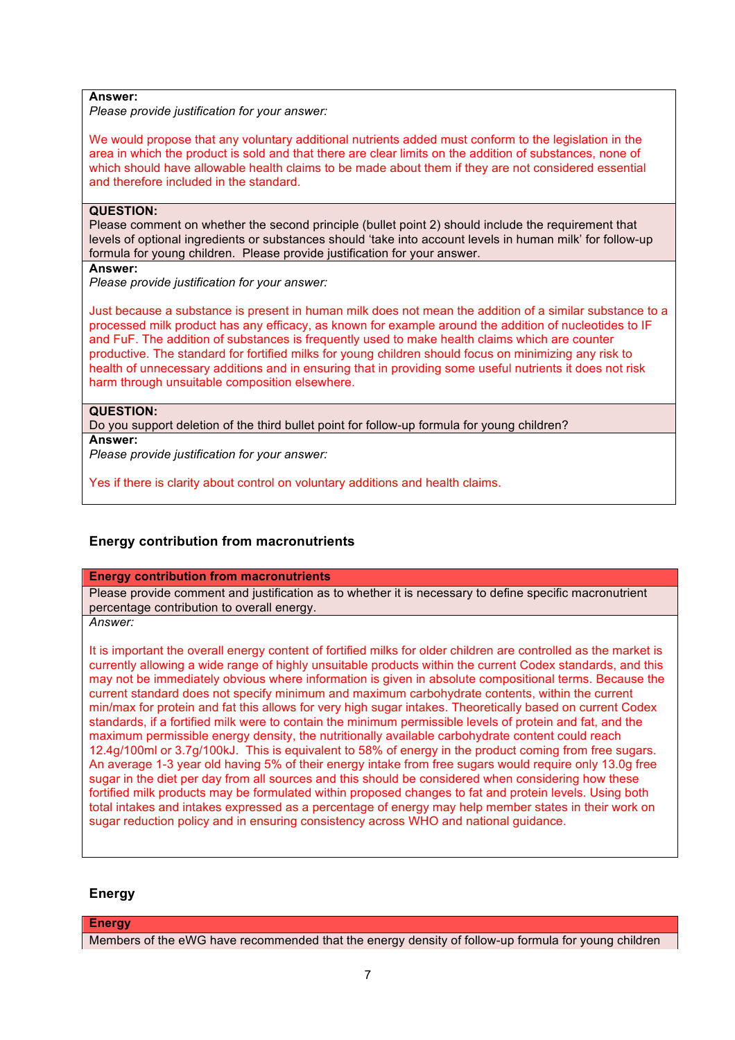#### **Answer:**

*Please provide justification for your answer:*

We would propose that any voluntary additional nutrients added must conform to the legislation in the area in which the product is sold and that there are clear limits on the addition of substances, none of which should have allowable health claims to be made about them if they are not considered essential and therefore included in the standard.

#### **QUESTION:**

Please comment on whether the second principle (bullet point 2) should include the requirement that levels of optional ingredients or substances should 'take into account levels in human milk' for follow-up formula for young children. Please provide justification for your answer.

#### **Answer:**

*Please provide justification for your answer:*

Just because a substance is present in human milk does not mean the addition of a similar substance to a processed milk product has any efficacy, as known for example around the addition of nucleotides to IF and FuF. The addition of substances is frequently used to make health claims which are counter productive. The standard for fortified milks for young children should focus on minimizing any risk to health of unnecessary additions and in ensuring that in providing some useful nutrients it does not risk harm through unsuitable composition elsewhere.

#### **QUESTION:**

Do you support deletion of the third bullet point for follow-up formula for young children? **Answer:**

*Please provide justification for your answer:*

Yes if there is clarity about control on voluntary additions and health claims.

#### **Energy contribution from macronutrients**

#### **Energy contribution from macronutrients**

Please provide comment and justification as to whether it is necessary to define specific macronutrient percentage contribution to overall energy.

*Answer:*

It is important the overall energy content of fortified milks for older children are controlled as the market is currently allowing a wide range of highly unsuitable products within the current Codex standards, and this may not be immediately obvious where information is given in absolute compositional terms. Because the current standard does not specify minimum and maximum carbohydrate contents, within the current min/max for protein and fat this allows for very high sugar intakes. Theoretically based on current Codex standards, if a fortified milk were to contain the minimum permissible levels of protein and fat, and the maximum permissible energy density, the nutritionally available carbohydrate content could reach 12.4g/100ml or 3.7g/100kJ. This is equivalent to 58% of energy in the product coming from free sugars. An average 1-3 year old having 5% of their energy intake from free sugars would require only 13.0g free sugar in the diet per day from all sources and this should be considered when considering how these fortified milk products may be formulated within proposed changes to fat and protein levels. Using both total intakes and intakes expressed as a percentage of energy may help member states in their work on sugar reduction policy and in ensuring consistency across WHO and national guidance.

#### **Energy**

#### **Energy**

Members of the eWG have recommended that the energy density of follow-up formula for young children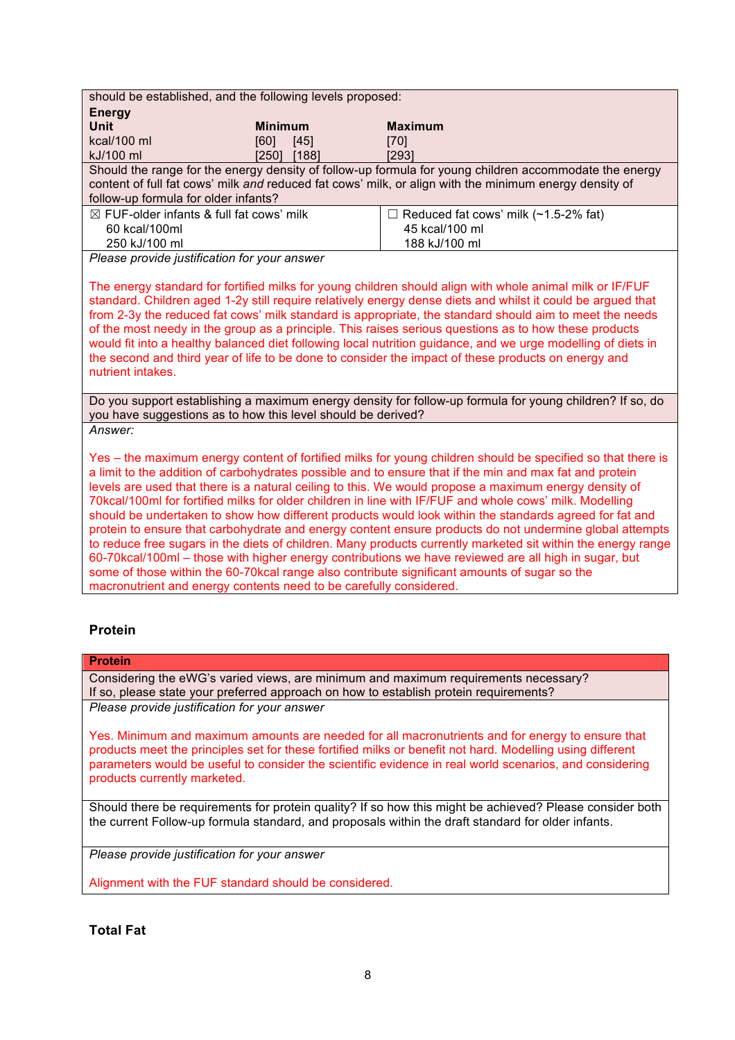| <b>Maximum</b><br>[70]                                                                                                                                                                                                                                                                                                                                                                                                                                                                                                                                                                                                                                                                                                                                                                                                                                                                                                                                                                                                                                         |  |  |  |  |
|----------------------------------------------------------------------------------------------------------------------------------------------------------------------------------------------------------------------------------------------------------------------------------------------------------------------------------------------------------------------------------------------------------------------------------------------------------------------------------------------------------------------------------------------------------------------------------------------------------------------------------------------------------------------------------------------------------------------------------------------------------------------------------------------------------------------------------------------------------------------------------------------------------------------------------------------------------------------------------------------------------------------------------------------------------------|--|--|--|--|
|                                                                                                                                                                                                                                                                                                                                                                                                                                                                                                                                                                                                                                                                                                                                                                                                                                                                                                                                                                                                                                                                |  |  |  |  |
|                                                                                                                                                                                                                                                                                                                                                                                                                                                                                                                                                                                                                                                                                                                                                                                                                                                                                                                                                                                                                                                                |  |  |  |  |
|                                                                                                                                                                                                                                                                                                                                                                                                                                                                                                                                                                                                                                                                                                                                                                                                                                                                                                                                                                                                                                                                |  |  |  |  |
| [293]                                                                                                                                                                                                                                                                                                                                                                                                                                                                                                                                                                                                                                                                                                                                                                                                                                                                                                                                                                                                                                                          |  |  |  |  |
| Should the range for the energy density of follow-up formula for young children accommodate the energy                                                                                                                                                                                                                                                                                                                                                                                                                                                                                                                                                                                                                                                                                                                                                                                                                                                                                                                                                         |  |  |  |  |
| content of full fat cows' milk and reduced fat cows' milk, or align with the minimum energy density of                                                                                                                                                                                                                                                                                                                                                                                                                                                                                                                                                                                                                                                                                                                                                                                                                                                                                                                                                         |  |  |  |  |
|                                                                                                                                                                                                                                                                                                                                                                                                                                                                                                                                                                                                                                                                                                                                                                                                                                                                                                                                                                                                                                                                |  |  |  |  |
| $\Box$ Reduced fat cows' milk (~1.5-2% fat)<br>45 kcal/100 ml                                                                                                                                                                                                                                                                                                                                                                                                                                                                                                                                                                                                                                                                                                                                                                                                                                                                                                                                                                                                  |  |  |  |  |
| 188 kJ/100 ml                                                                                                                                                                                                                                                                                                                                                                                                                                                                                                                                                                                                                                                                                                                                                                                                                                                                                                                                                                                                                                                  |  |  |  |  |
|                                                                                                                                                                                                                                                                                                                                                                                                                                                                                                                                                                                                                                                                                                                                                                                                                                                                                                                                                                                                                                                                |  |  |  |  |
|                                                                                                                                                                                                                                                                                                                                                                                                                                                                                                                                                                                                                                                                                                                                                                                                                                                                                                                                                                                                                                                                |  |  |  |  |
| The energy standard for fortified milks for young children should align with whole animal milk or IF/FUF<br>standard. Children aged 1-2y still require relatively energy dense diets and whilst it could be argued that<br>from 2-3y the reduced fat cows' milk standard is appropriate, the standard should aim to meet the needs<br>of the most needy in the group as a principle. This raises serious questions as to how these products<br>would fit into a healthy balanced diet following local nutrition guidance, and we urge modelling of diets in<br>the second and third year of life to be done to consider the impact of these products on energy and<br>nutrient intakes.                                                                                                                                                                                                                                                                                                                                                                        |  |  |  |  |
| Do you support establishing a maximum energy density for follow-up formula for young children? If so, do<br>you have suggestions as to how this level should be derived?                                                                                                                                                                                                                                                                                                                                                                                                                                                                                                                                                                                                                                                                                                                                                                                                                                                                                       |  |  |  |  |
|                                                                                                                                                                                                                                                                                                                                                                                                                                                                                                                                                                                                                                                                                                                                                                                                                                                                                                                                                                                                                                                                |  |  |  |  |
| Yes – the maximum energy content of fortified milks for young children should be specified so that there is<br>a limit to the addition of carbohydrates possible and to ensure that if the min and max fat and protein<br>levels are used that there is a natural ceiling to this. We would propose a maximum energy density of<br>70kcal/100ml for fortified milks for older children in line with IF/FUF and whole cows' milk. Modelling<br>should be undertaken to show how different products would look within the standards agreed for fat and<br>protein to ensure that carbohydrate and energy content ensure products do not undermine global attempts<br>to reduce free sugars in the diets of children. Many products currently marketed sit within the energy range<br>60-70kcal/100ml - those with higher energy contributions we have reviewed are all high in sugar, but<br>some of those within the 60-70 kcal range also contribute significant amounts of sugar so the<br>macronutrient and energy contents need to be carefully considered. |  |  |  |  |
|                                                                                                                                                                                                                                                                                                                                                                                                                                                                                                                                                                                                                                                                                                                                                                                                                                                                                                                                                                                                                                                                |  |  |  |  |

## **Protein**

#### **Protein**

Considering the eWG's varied views, are minimum and maximum requirements necessary? If so, please state your preferred approach on how to establish protein requirements? *Please provide justification for your answer*

Yes. Minimum and maximum amounts are needed for all macronutrients and for energy to ensure that products meet the principles set for these fortified milks or benefit not hard. Modelling using different parameters would be useful to consider the scientific evidence in real world scenarios, and considering products currently marketed.

Should there be requirements for protein quality? If so how this might be achieved? Please consider both the current Follow-up formula standard, and proposals within the draft standard for older infants.

*Please provide justification for your answer*

Alignment with the FUF standard should be considered.

## **Total Fat**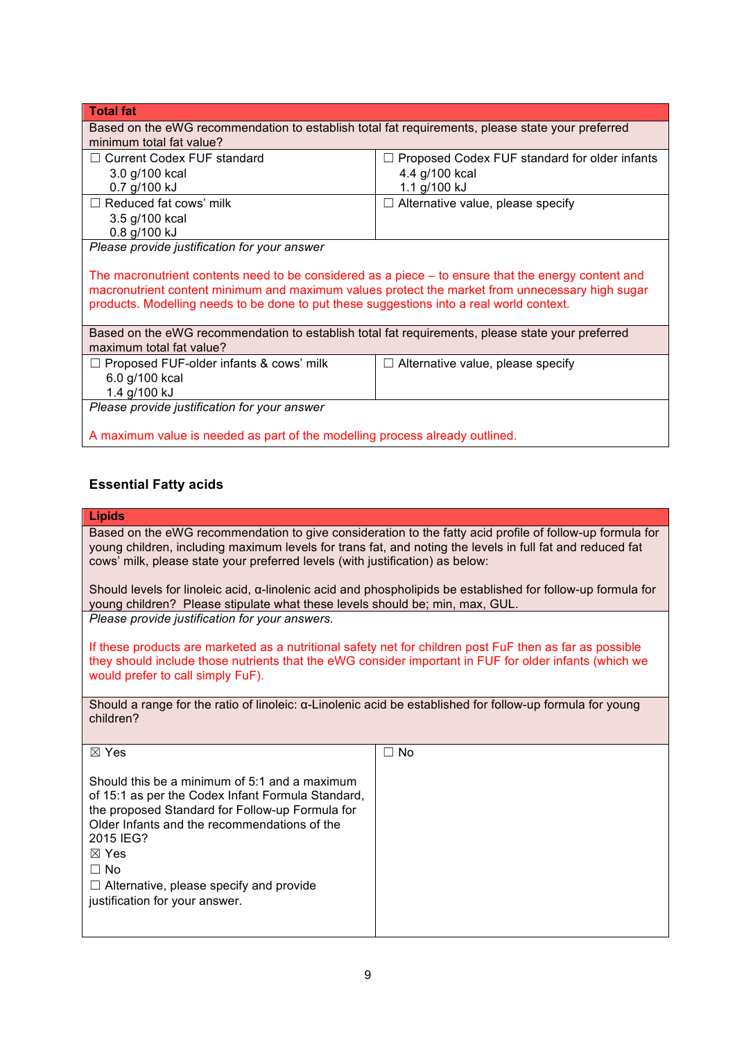| <b>Total fat</b>                                                                                                                                                                                                                                                                                     |                                               |  |  |  |
|------------------------------------------------------------------------------------------------------------------------------------------------------------------------------------------------------------------------------------------------------------------------------------------------------|-----------------------------------------------|--|--|--|
| Based on the eWG recommendation to establish total fat requirements, please state your preferred<br>minimum total fat value?                                                                                                                                                                         |                                               |  |  |  |
| $\Box$ Current Codex FUF standard                                                                                                                                                                                                                                                                    | Proposed Codex FUF standard for older infants |  |  |  |
| 3.0 g/100 kcal                                                                                                                                                                                                                                                                                       | 4.4 g/100 kcal                                |  |  |  |
| 0.7 g/100 kJ                                                                                                                                                                                                                                                                                         | 1.1 g/100 kJ                                  |  |  |  |
| $\Box$ Reduced fat cows' milk                                                                                                                                                                                                                                                                        | $\Box$ Alternative value, please specify      |  |  |  |
| 3.5 g/100 kcal                                                                                                                                                                                                                                                                                       |                                               |  |  |  |
| 0.8 g/100 kJ                                                                                                                                                                                                                                                                                         |                                               |  |  |  |
| Please provide justification for your answer                                                                                                                                                                                                                                                         |                                               |  |  |  |
| The macronutrient contents need to be considered as a piece $-$ to ensure that the energy content and<br>macronutrient content minimum and maximum values protect the market from unnecessary high sugar<br>products. Modelling needs to be done to put these suggestions into a real world context. |                                               |  |  |  |
| Based on the eWG recommendation to establish total fat requirements, please state your preferred<br>maximum total fat value?                                                                                                                                                                         |                                               |  |  |  |
| $\Box$ Proposed FUF-older infants & cows' milk                                                                                                                                                                                                                                                       | $\Box$ Alternative value, please specify      |  |  |  |
| 6.0 g/100 kcal                                                                                                                                                                                                                                                                                       |                                               |  |  |  |
| 1.4 g/100 kJ                                                                                                                                                                                                                                                                                         |                                               |  |  |  |
| Please provide justification for your answer                                                                                                                                                                                                                                                         |                                               |  |  |  |
|                                                                                                                                                                                                                                                                                                      |                                               |  |  |  |
| A maximum value is needed as part of the modelling process already outlined.                                                                                                                                                                                                                         |                                               |  |  |  |

## **Essential Fatty acids**

#### **Lipids**

Based on the eWG recommendation to give consideration to the fatty acid profile of follow-up formula for young children, including maximum levels for trans fat, and noting the levels in full fat and reduced fat cows' milk, please state your preferred levels (with justification) as below:

Should levels for linoleic acid, α-linolenic acid and phospholipids be established for follow-up formula for young children? Please stipulate what these levels should be; min, max, GUL. *Please provide justification for your answers.*

If these products are marketed as a nutritional safety net for children post FuF then as far as possible they should include those nutrients that the eWG consider important in FUF for older infants (which we would prefer to call simply FuF).

Should a range for the ratio of linoleic: α-Linolenic acid be established for follow-up formula for young children?

| $\boxtimes$ Yes                                                                                                                                                                                                                                                                                                                        | $\Box$ No |
|----------------------------------------------------------------------------------------------------------------------------------------------------------------------------------------------------------------------------------------------------------------------------------------------------------------------------------------|-----------|
| Should this be a minimum of 5:1 and a maximum<br>of 15:1 as per the Codex Infant Formula Standard,<br>the proposed Standard for Follow-up Formula for<br>Older Infants and the recommendations of the<br>2015 IEG?<br>$\boxtimes$ Yes<br>$\Box$ No<br>$\Box$ Alternative, please specify and provide<br>justification for your answer. |           |
|                                                                                                                                                                                                                                                                                                                                        |           |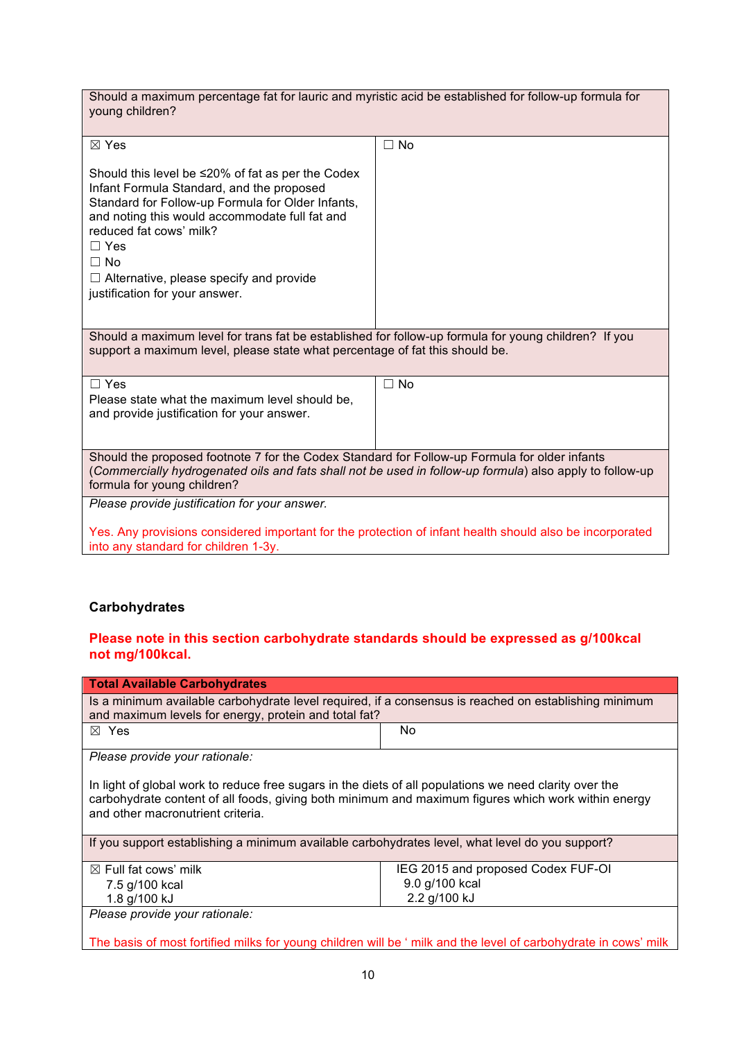| Should a maximum percentage fat for lauric and myristic acid be established for follow-up formula for<br>young children?                                                                                                                                                                                                                                                                                                                                                                                                                      |           |  |
|-----------------------------------------------------------------------------------------------------------------------------------------------------------------------------------------------------------------------------------------------------------------------------------------------------------------------------------------------------------------------------------------------------------------------------------------------------------------------------------------------------------------------------------------------|-----------|--|
| ⊠ Yes                                                                                                                                                                                                                                                                                                                                                                                                                                                                                                                                         | $\Box$ No |  |
| Should this level be $\leq$ 20% of fat as per the Codex<br>Infant Formula Standard, and the proposed<br>Standard for Follow-up Formula for Older Infants,<br>and noting this would accommodate full fat and<br>reduced fat cows' milk?<br>$\Box$ Yes<br>$\Box$ No<br>$\Box$ Alternative, please specify and provide<br>justification for your answer.<br>Should a maximum level for trans fat be established for follow-up formula for young children? If you<br>support a maximum level, please state what percentage of fat this should be. |           |  |
|                                                                                                                                                                                                                                                                                                                                                                                                                                                                                                                                               |           |  |
| $\Box$ Yes<br>Please state what the maximum level should be,<br>and provide justification for your answer.                                                                                                                                                                                                                                                                                                                                                                                                                                    | $\Box$ No |  |
| Should the proposed footnote 7 for the Codex Standard for Follow-up Formula for older infants<br>(Commercially hydrogenated oils and fats shall not be used in follow-up formula) also apply to follow-up<br>formula for young children?                                                                                                                                                                                                                                                                                                      |           |  |
| Please provide justification for your answer.                                                                                                                                                                                                                                                                                                                                                                                                                                                                                                 |           |  |
| Yes. Any provisions considered important for the protection of infant health should also be incorporated<br>into any standard for children 1-3y.                                                                                                                                                                                                                                                                                                                                                                                              |           |  |

## **Carbohydrates**

## **Please note in this section carbohydrate standards should be expressed as g/100kcal not mg/100kcal.**

| <b>Total Available Carbohydrates</b>                                                                                                                                                                                                               |                                    |  |
|----------------------------------------------------------------------------------------------------------------------------------------------------------------------------------------------------------------------------------------------------|------------------------------------|--|
| Is a minimum available carbohydrate level required, if a consensus is reached on establishing minimum<br>and maximum levels for energy, protein and total fat?                                                                                     |                                    |  |
| $\boxtimes$ Yes                                                                                                                                                                                                                                    | No.                                |  |
| Please provide your rationale:                                                                                                                                                                                                                     |                                    |  |
| In light of global work to reduce free sugars in the diets of all populations we need clarity over the<br>carbohydrate content of all foods, giving both minimum and maximum figures which work within energy<br>and other macronutrient criteria. |                                    |  |
| If you support establishing a minimum available carbohydrates level, what level do you support?                                                                                                                                                    |                                    |  |
| $\boxtimes$ Full fat cows' milk                                                                                                                                                                                                                    | IEG 2015 and proposed Codex FUF-OI |  |
| 7.5 g/100 kcal                                                                                                                                                                                                                                     | 9.0 g/100 kcal                     |  |
| 1.8 g/100 kJ                                                                                                                                                                                                                                       | 2.2 g/100 kJ                       |  |
| Please provide your rationale:                                                                                                                                                                                                                     |                                    |  |
| The basis of most fortified milks for young children will be 'milk and the level of carbohydrate in cows' milk                                                                                                                                     |                                    |  |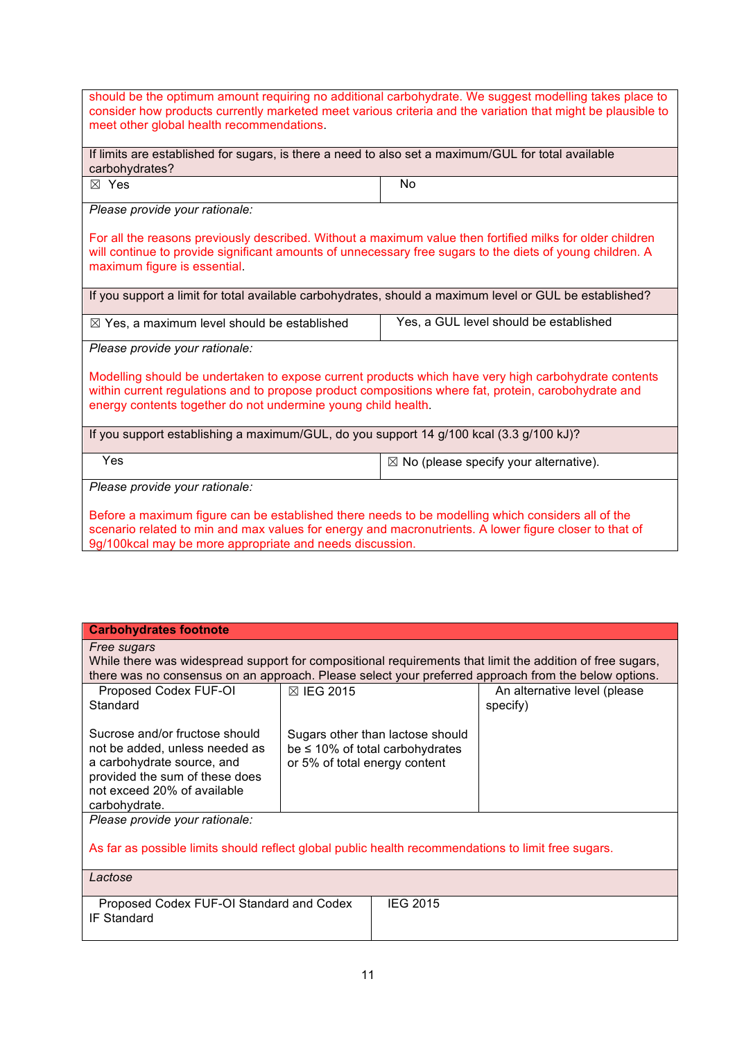| should be the optimum amount requiring no additional carbohydrate. We suggest modelling takes place to<br>consider how products currently marketed meet various criteria and the variation that might be plausible to<br>meet other global health recommendations.            |                                                   |  |
|-------------------------------------------------------------------------------------------------------------------------------------------------------------------------------------------------------------------------------------------------------------------------------|---------------------------------------------------|--|
| If limits are established for sugars, is there a need to also set a maximum/GUL for total available<br>carbohydrates?                                                                                                                                                         |                                                   |  |
| ⊠ Yes                                                                                                                                                                                                                                                                         | <b>No</b>                                         |  |
| Please provide your rationale:                                                                                                                                                                                                                                                |                                                   |  |
| For all the reasons previously described. Without a maximum value then fortified milks for older children<br>will continue to provide significant amounts of unnecessary free sugars to the diets of young children. A<br>maximum figure is essential.                        |                                                   |  |
| If you support a limit for total available carbohydrates, should a maximum level or GUL be established?                                                                                                                                                                       |                                                   |  |
| $\boxtimes$ Yes, a maximum level should be established                                                                                                                                                                                                                        | Yes, a GUL level should be established            |  |
| Please provide your rationale:                                                                                                                                                                                                                                                |                                                   |  |
| Modelling should be undertaken to expose current products which have very high carbohydrate contents<br>within current regulations and to propose product compositions where fat, protein, carobohydrate and<br>energy contents together do not undermine young child health. |                                                   |  |
| If you support establishing a maximum/GUL, do you support 14 g/100 kcal (3.3 g/100 kJ)?                                                                                                                                                                                       |                                                   |  |
| Yes                                                                                                                                                                                                                                                                           | $\boxtimes$ No (please specify your alternative). |  |
| Please provide your rationale:                                                                                                                                                                                                                                                |                                                   |  |
| Before a maximum figure can be established there needs to be modelling which considers all of the<br>scenario related to min and max values for energy and macronutrients. A lower figure closer to that of<br>9g/100kcal may be more appropriate and needs discussion.       |                                                   |  |

| <b>Carbohydrates footnote</b>                                                                                                                                                    |                                                                                                           |                                          |
|----------------------------------------------------------------------------------------------------------------------------------------------------------------------------------|-----------------------------------------------------------------------------------------------------------|------------------------------------------|
| Free sugars                                                                                                                                                                      | While there was widespread support for compositional requirements that limit the addition of free sugars, |                                          |
|                                                                                                                                                                                  | there was no consensus on an approach. Please select your preferred approach from the below options.      |                                          |
| Proposed Codex FUF-OI<br>Standard                                                                                                                                                | ⊠ IEG 2015                                                                                                | An alternative level (please<br>specify) |
| Sucrose and/or fructose should<br>not be added, unless needed as<br>a carbohydrate source, and<br>provided the sum of these does<br>not exceed 20% of available<br>carbohydrate. | Sugars other than lactose should<br>be $\leq$ 10% of total carbohydrates<br>or 5% of total energy content |                                          |
| Please provide your rationale:<br>As far as possible limits should reflect global public health recommendations to limit free sugars.                                            |                                                                                                           |                                          |
|                                                                                                                                                                                  |                                                                                                           |                                          |
| Lactose                                                                                                                                                                          |                                                                                                           |                                          |

| Proposed Codex FUF-OI Standard and Codex | <b>IEG 2015</b> |
|------------------------------------------|-----------------|
|                                          |                 |
| IF Standard                              |                 |
|                                          |                 |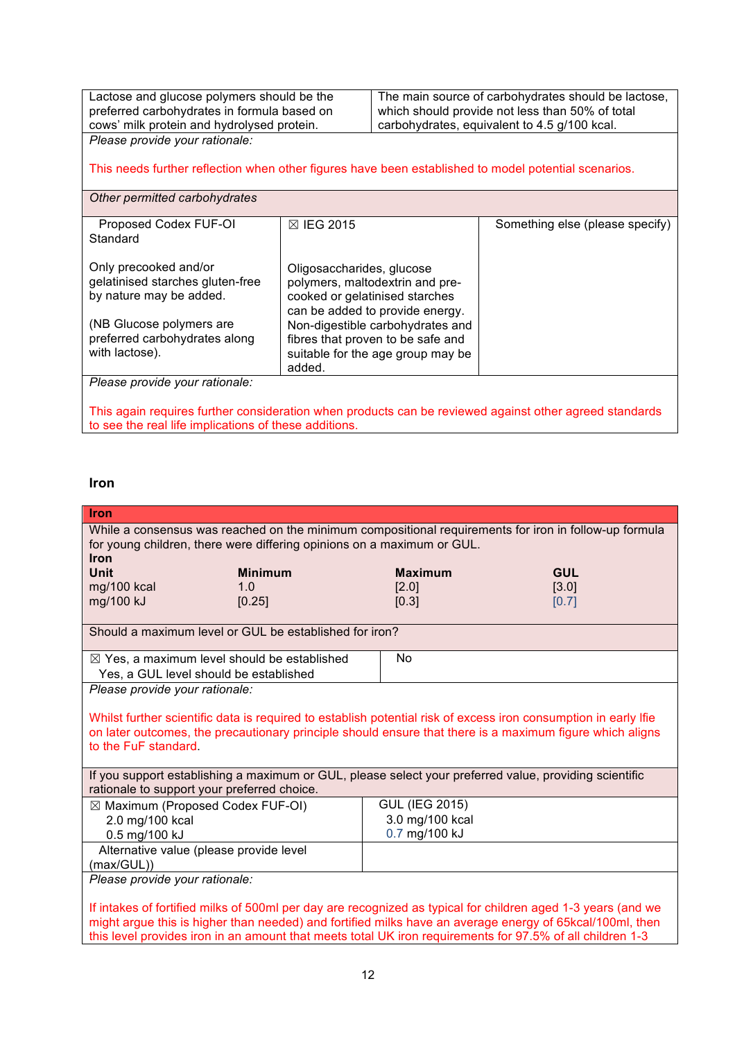Lactose and glucose polymers should be the preferred carbohydrates in formula based on cows' milk protein and hydrolysed protein. The main source of carbohydrates should be lactose, which should provide not less than 50% of total carbohydrates, equivalent to 4.5 g/100 kcal.

*Please provide your rationale:* This needs further reflection when other figures have been established to model potential scenarios.

*Other permitted carbohydrates*

| Proposed Codex FUF-OI            | <b>⊠ IEG 2015</b>                                                 | Something else (please specify) |
|----------------------------------|-------------------------------------------------------------------|---------------------------------|
| Standard                         |                                                                   |                                 |
| Only precooked and/or            | Oligosaccharides, glucose                                         |                                 |
| gelatinised starches gluten-free | polymers, maltodextrin and pre-                                   |                                 |
| by nature may be added.          | cooked or gelatinised starches<br>can be added to provide energy. |                                 |
| (NB Glucose polymers are         | Non-digestible carbohydrates and                                  |                                 |
| preferred carbohydrates along    | fibres that proven to be safe and                                 |                                 |
| with lactose).                   | suitable for the age group may be                                 |                                 |
|                                  | added.                                                            |                                 |
| Please provide your rationale:   |                                                                   |                                 |

This again requires further consideration when products can be reviewed against other agreed standards to see the real life implications of these additions.

## **Iron**

| <b>Iron</b>                                                                                                  |                                                                                                                                                                                                                             |  |
|--------------------------------------------------------------------------------------------------------------|-----------------------------------------------------------------------------------------------------------------------------------------------------------------------------------------------------------------------------|--|
| While a consensus was reached on the minimum compositional requirements for iron in follow-up formula        |                                                                                                                                                                                                                             |  |
| for young children, there were differing opinions on a maximum or GUL.                                       |                                                                                                                                                                                                                             |  |
| <b>Iron</b><br><b>Unit</b><br><b>Minimum</b>                                                                 | <b>Maximum</b><br><b>GUL</b>                                                                                                                                                                                                |  |
| $mg/100$ kcal<br>1.0                                                                                         | [3.0]<br>[2.0]                                                                                                                                                                                                              |  |
| mg/100 kJ<br>[0.25]                                                                                          | [0.3]<br>[0.7]                                                                                                                                                                                                              |  |
|                                                                                                              |                                                                                                                                                                                                                             |  |
| Should a maximum level or GUL be established for iron?                                                       |                                                                                                                                                                                                                             |  |
| $\boxtimes$ Yes, a maximum level should be established                                                       | <b>No</b>                                                                                                                                                                                                                   |  |
| Yes, a GUL level should be established                                                                       |                                                                                                                                                                                                                             |  |
| Please provide your rationale:                                                                               |                                                                                                                                                                                                                             |  |
|                                                                                                              |                                                                                                                                                                                                                             |  |
|                                                                                                              | Whilst further scientific data is required to establish potential risk of excess iron consumption in early lfie<br>on later outcomes, the precautionary principle should ensure that there is a maximum figure which aligns |  |
| to the FuF standard.                                                                                         |                                                                                                                                                                                                                             |  |
|                                                                                                              |                                                                                                                                                                                                                             |  |
| If you support establishing a maximum or GUL, please select your preferred value, providing scientific       |                                                                                                                                                                                                                             |  |
| rationale to support your preferred choice.                                                                  |                                                                                                                                                                                                                             |  |
| ⊠ Maximum (Proposed Codex FUF-OI)                                                                            | <b>GUL (IEG 2015)</b>                                                                                                                                                                                                       |  |
| 2.0 mg/100 kcal                                                                                              | 3.0 mg/100 kcal                                                                                                                                                                                                             |  |
| 0.5 mg/100 kJ                                                                                                | 0.7 mg/100 kJ                                                                                                                                                                                                               |  |
| Alternative value (please provide level                                                                      |                                                                                                                                                                                                                             |  |
| (max/GUL))<br>Please provide your rationale:                                                                 |                                                                                                                                                                                                                             |  |
|                                                                                                              |                                                                                                                                                                                                                             |  |
| If intakes of fortified milks of 500ml per day are recognized as typical for children aged 1-3 years (and we |                                                                                                                                                                                                                             |  |
| might argue this is higher than needed) and fortified milks have an average energy of 65kcal/100ml, then     |                                                                                                                                                                                                                             |  |
|                                                                                                              | this level provides iron in an amount that meets total UK iron requirements for 97.5% of all children 1-3                                                                                                                   |  |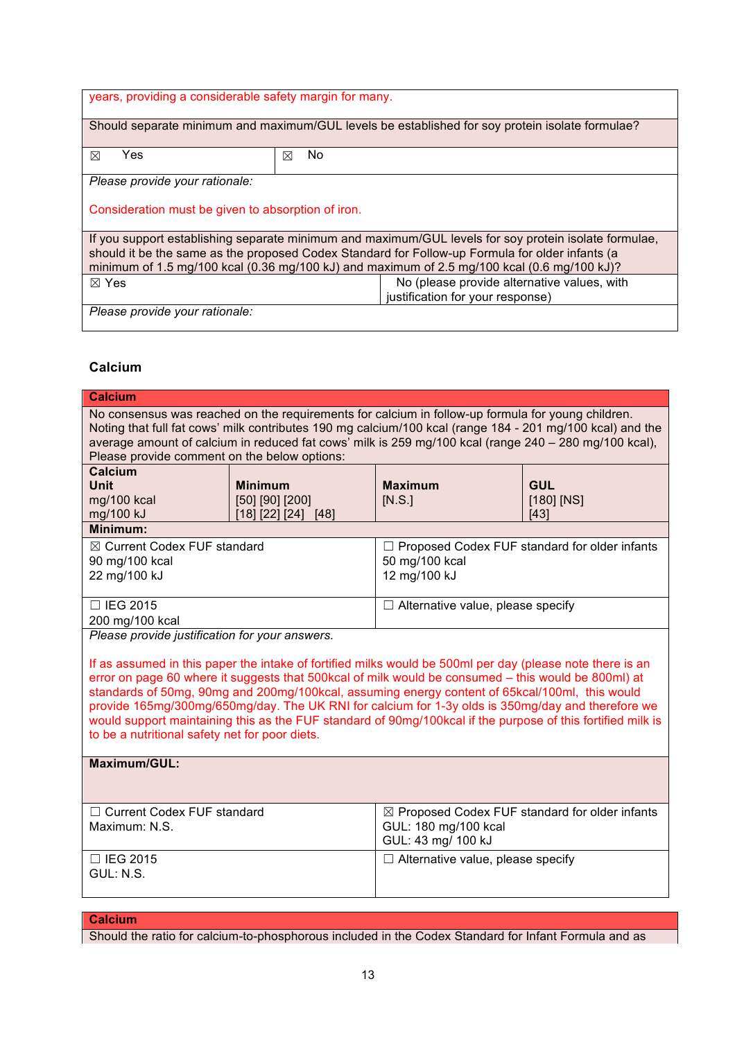| years, providing a considerable safety margin for many.                                                                                                                                                                                                                                                 |          |  |
|---------------------------------------------------------------------------------------------------------------------------------------------------------------------------------------------------------------------------------------------------------------------------------------------------------|----------|--|
| Should separate minimum and maximum/GUL levels be established for soy protein isolate formulae?                                                                                                                                                                                                         |          |  |
| Yes<br>⊠                                                                                                                                                                                                                                                                                                | No.<br>⊠ |  |
| Please provide your rationale:                                                                                                                                                                                                                                                                          |          |  |
| Consideration must be given to absorption of iron.                                                                                                                                                                                                                                                      |          |  |
| If you support establishing separate minimum and maximum/GUL levels for soy protein isolate formulae,<br>should it be the same as the proposed Codex Standard for Follow-up Formula for older infants (a<br>minimum of 1.5 mg/100 kcal (0.36 mg/100 kJ) and maximum of 2.5 mg/100 kcal (0.6 mg/100 kJ)? |          |  |
| No (please provide alternative values, with<br>$\boxtimes$ Yes                                                                                                                                                                                                                                          |          |  |
| justification for your response)                                                                                                                                                                                                                                                                        |          |  |
| Please provide your rationale:                                                                                                                                                                                                                                                                          |          |  |

## **Calcium**

| <b>Calcium</b>                                                                                                                                                                                                                                                                                                                                                                                                                                                                                                                                                                           |                                        |                                          |                        |
|------------------------------------------------------------------------------------------------------------------------------------------------------------------------------------------------------------------------------------------------------------------------------------------------------------------------------------------------------------------------------------------------------------------------------------------------------------------------------------------------------------------------------------------------------------------------------------------|----------------------------------------|------------------------------------------|------------------------|
| No consensus was reached on the requirements for calcium in follow-up formula for young children.<br>Noting that full fat cows' milk contributes 190 mg calcium/100 kcal (range 184 - 201 mg/100 kcal) and the<br>average amount of calcium in reduced fat cows' milk is 259 mg/100 kcal (range 240 - 280 mg/100 kcal),<br>Please provide comment on the below options:                                                                                                                                                                                                                  |                                        |                                          |                        |
| Calcium                                                                                                                                                                                                                                                                                                                                                                                                                                                                                                                                                                                  |                                        |                                          |                        |
| <b>Unit</b>                                                                                                                                                                                                                                                                                                                                                                                                                                                                                                                                                                              | <b>Minimum</b>                         | <b>Maximum</b>                           | <b>GUL</b>             |
| mg/100 kcal<br>mg/100 kJ                                                                                                                                                                                                                                                                                                                                                                                                                                                                                                                                                                 | [50] [90] [200]<br>[18] [22] [24] [48] | [N.S.]                                   | $[180]$ $[NS]$<br>[43] |
| Minimum:                                                                                                                                                                                                                                                                                                                                                                                                                                                                                                                                                                                 |                                        |                                          |                        |
| $\boxtimes$ Current Codex FUF standard<br>□ Proposed Codex FUF standard for older infants<br>50 mg/100 kcal<br>90 mg/100 kcal<br>12 mg/100 kJ<br>22 mg/100 kJ                                                                                                                                                                                                                                                                                                                                                                                                                            |                                        |                                          |                        |
| □ IEG 2015                                                                                                                                                                                                                                                                                                                                                                                                                                                                                                                                                                               |                                        | $\Box$ Alternative value, please specify |                        |
| 200 mg/100 kcal                                                                                                                                                                                                                                                                                                                                                                                                                                                                                                                                                                          |                                        |                                          |                        |
| Please provide justification for your answers.                                                                                                                                                                                                                                                                                                                                                                                                                                                                                                                                           |                                        |                                          |                        |
| If as assumed in this paper the intake of fortified milks would be 500ml per day (please note there is an<br>error on page 60 where it suggests that 500kcal of milk would be consumed - this would be 800ml) at<br>standards of 50mg, 90mg and 200mg/100kcal, assuming energy content of 65kcal/100ml, this would<br>provide 165mg/300mg/650mg/day. The UK RNI for calcium for 1-3y olds is 350mg/day and therefore we<br>would support maintaining this as the FUF standard of 90mg/100kcal if the purpose of this fortified milk is<br>to be a nutritional safety net for poor diets. |                                        |                                          |                        |
| <b>Maximum/GUL:</b>                                                                                                                                                                                                                                                                                                                                                                                                                                                                                                                                                                      |                                        |                                          |                        |
| □ Current Codex FUF standard<br>⊠ Proposed Codex FUF standard for older infants<br>GUL: 180 mg/100 kcal<br>Maximum: N.S.<br>GUL: 43 mg/ 100 kJ                                                                                                                                                                                                                                                                                                                                                                                                                                           |                                        |                                          |                        |
| □ IEG 2015<br>$\Box$ Alternative value, please specify<br>GUL: N.S.                                                                                                                                                                                                                                                                                                                                                                                                                                                                                                                      |                                        |                                          |                        |

# **Calcium**

Should the ratio for calcium-to-phosphorous included in the Codex Standard for Infant Formula and as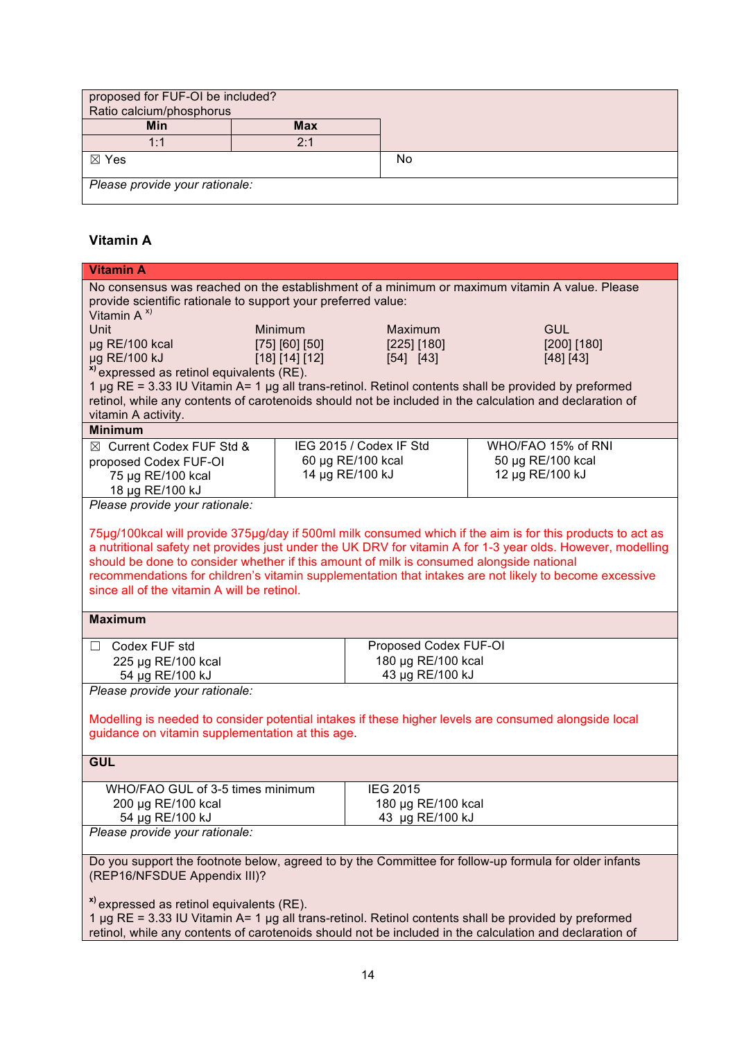| proposed for FUF-OI be included?<br>Ratio calcium/phosphorus |            |    |
|--------------------------------------------------------------|------------|----|
| Min                                                          | <b>Max</b> |    |
| 1:1                                                          | 2.1        |    |
| $\boxtimes$ Yes                                              |            | No |
| Please provide your rationale:                               |            |    |

# **Vitamin A**

| <b>Vitamin A</b>                                                                                                                                                                                                |                                |                         |                                                                                                             |
|-----------------------------------------------------------------------------------------------------------------------------------------------------------------------------------------------------------------|--------------------------------|-------------------------|-------------------------------------------------------------------------------------------------------------|
| No consensus was reached on the establishment of a minimum or maximum vitamin A value. Please                                                                                                                   |                                |                         |                                                                                                             |
| provide scientific rationale to support your preferred value:                                                                                                                                                   |                                |                         |                                                                                                             |
| Vitamin $A^{x}$                                                                                                                                                                                                 |                                |                         |                                                                                                             |
| Unit                                                                                                                                                                                                            | Minimum                        | <b>Maximum</b>          | <b>GUL</b>                                                                                                  |
| µg RE/100 kcal                                                                                                                                                                                                  | [75] [60] [50]                 | [225] [180]             | [200] [180]                                                                                                 |
| µg RE/100 kJ                                                                                                                                                                                                    | [18] [14] [12]                 | [54] [43]               | [48] [43]                                                                                                   |
| <sup>x)</sup> expressed as retinol equivalents (RE).                                                                                                                                                            |                                |                         |                                                                                                             |
| 1 µg RE = 3.33 IU Vitamin A= 1 µg all trans-retinol. Retinol contents shall be provided by preformed                                                                                                            |                                |                         |                                                                                                             |
| retinol, while any contents of carotenoids should not be included in the calculation and declaration of                                                                                                         |                                |                         |                                                                                                             |
| vitamin A activity.                                                                                                                                                                                             |                                |                         |                                                                                                             |
| <b>Minimum</b>                                                                                                                                                                                                  |                                |                         |                                                                                                             |
| ⊠ Current Codex FUF Std &                                                                                                                                                                                       |                                | IEG 2015 / Codex IF Std | WHO/FAO 15% of RNI                                                                                          |
| proposed Codex FUF-OI                                                                                                                                                                                           |                                | 60 µg RE/100 kcal       | 50 µg RE/100 kcal                                                                                           |
| 75 µg RE/100 kcal                                                                                                                                                                                               |                                | 14 µg RE/100 kJ         | 12 µg RE/100 kJ                                                                                             |
| 18 µg RE/100 kJ                                                                                                                                                                                                 |                                |                         |                                                                                                             |
| Please provide your rationale:                                                                                                                                                                                  |                                |                         |                                                                                                             |
|                                                                                                                                                                                                                 |                                |                         |                                                                                                             |
|                                                                                                                                                                                                                 |                                |                         | 75µg/100kcal will provide 375µg/day if 500ml milk consumed which if the aim is for this products to act as  |
|                                                                                                                                                                                                                 |                                |                         | a nutritional safety net provides just under the UK DRV for vitamin A for 1-3 year olds. However, modelling |
| should be done to consider whether if this amount of milk is consumed alongside national                                                                                                                        |                                |                         |                                                                                                             |
|                                                                                                                                                                                                                 |                                |                         | recommendations for children's vitamin supplementation that intakes are not likely to become excessive      |
| since all of the vitamin A will be retinol.                                                                                                                                                                     |                                |                         |                                                                                                             |
|                                                                                                                                                                                                                 |                                |                         |                                                                                                             |
| <b>Maximum</b>                                                                                                                                                                                                  |                                |                         |                                                                                                             |
|                                                                                                                                                                                                                 |                                |                         |                                                                                                             |
| □ Codex FUF std                                                                                                                                                                                                 |                                | Proposed Codex FUF-OI   |                                                                                                             |
| 225 µg RE/100 kcal                                                                                                                                                                                              |                                | 180 µg RE/100 kcal      |                                                                                                             |
| 54 µg RE/100 kJ                                                                                                                                                                                                 |                                | 43 µg RE/100 kJ         |                                                                                                             |
|                                                                                                                                                                                                                 | Please provide your rationale: |                         |                                                                                                             |
|                                                                                                                                                                                                                 |                                |                         |                                                                                                             |
| Modelling is needed to consider potential intakes if these higher levels are consumed alongside local                                                                                                           |                                |                         |                                                                                                             |
| guidance on vitamin supplementation at this age.                                                                                                                                                                |                                |                         |                                                                                                             |
|                                                                                                                                                                                                                 |                                |                         |                                                                                                             |
| <b>GUL</b>                                                                                                                                                                                                      |                                |                         |                                                                                                             |
|                                                                                                                                                                                                                 |                                |                         |                                                                                                             |
| WHO/FAO GUL of 3-5 times minimum                                                                                                                                                                                |                                | <b>IEG 2015</b>         |                                                                                                             |
| 200 µg RE/100 kcal<br>180 µg RE/100 kcal                                                                                                                                                                        |                                |                         |                                                                                                             |
| 54 µg RE/100 kJ                                                                                                                                                                                                 |                                | 43 µg RE/100 kJ         |                                                                                                             |
| Please provide your rationale:                                                                                                                                                                                  |                                |                         |                                                                                                             |
|                                                                                                                                                                                                                 |                                |                         |                                                                                                             |
| Do you support the footnote below, agreed to by the Committee for follow-up formula for older infants                                                                                                           |                                |                         |                                                                                                             |
| (REP16/NFSDUE Appendix III)?                                                                                                                                                                                    |                                |                         |                                                                                                             |
|                                                                                                                                                                                                                 |                                |                         |                                                                                                             |
| <sup>x)</sup> expressed as retinol equivalents (RE).                                                                                                                                                            |                                |                         |                                                                                                             |
| 1 µg RE = 3.33 IU Vitamin A= 1 µg all trans-retinol. Retinol contents shall be provided by preformed<br>retinol, while any contents of carotenoids should not be included in the calculation and declaration of |                                |                         |                                                                                                             |
|                                                                                                                                                                                                                 |                                |                         |                                                                                                             |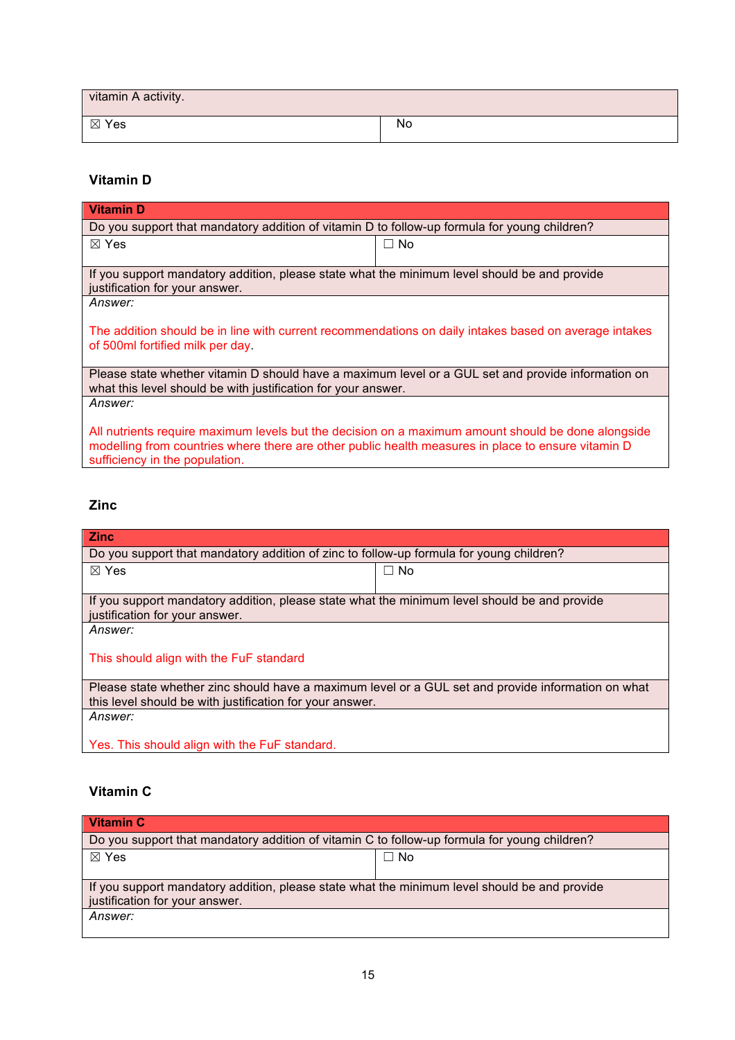| vitamin A activity. |    |
|---------------------|----|
| ⊠ Yes               | No |

## **Vitamin D**

| <b>Vitamin D</b>                                                                                      |           |  |
|-------------------------------------------------------------------------------------------------------|-----------|--|
| Do you support that mandatory addition of vitamin D to follow-up formula for young children?          |           |  |
| $\boxtimes$ Yes                                                                                       | $\Box$ No |  |
|                                                                                                       |           |  |
| If you support mandatory addition, please state what the minimum level should be and provide          |           |  |
| justification for your answer.                                                                        |           |  |
| Answer:                                                                                               |           |  |
|                                                                                                       |           |  |
| The addition should be in line with current recommendations on daily intakes based on average intakes |           |  |
| of 500ml fortified milk per day.                                                                      |           |  |
|                                                                                                       |           |  |
| Please state whether vitamin D should have a maximum level or a GUL set and provide information on    |           |  |
| what this level should be with justification for your answer.                                         |           |  |
| Answer:                                                                                               |           |  |
|                                                                                                       |           |  |
| All nutrients require maximum levels but the decision on a maximum amount should be done alongside    |           |  |
| modelling from countries where there are other public health measures in place to ensure vitamin D    |           |  |
| sufficiency in the population.                                                                        |           |  |
|                                                                                                       |           |  |

## **Zinc**

| <b>Zinc</b>                                                                                        |           |  |  |
|----------------------------------------------------------------------------------------------------|-----------|--|--|
| Do you support that mandatory addition of zinc to follow-up formula for young children?            |           |  |  |
| $\boxtimes$ Yes                                                                                    | $\Box$ No |  |  |
|                                                                                                    |           |  |  |
| If you support mandatory addition, please state what the minimum level should be and provide       |           |  |  |
| justification for your answer.                                                                     |           |  |  |
| <i>Answer:</i>                                                                                     |           |  |  |
|                                                                                                    |           |  |  |
| This should align with the FuF standard                                                            |           |  |  |
|                                                                                                    |           |  |  |
| Please state whether zinc should have a maximum level or a GUL set and provide information on what |           |  |  |
| this level should be with justification for your answer.                                           |           |  |  |
| Answer:                                                                                            |           |  |  |
|                                                                                                    |           |  |  |
| Yes. This should align with the FuF standard.                                                      |           |  |  |

# **Vitamin C**

| <b>Vitamin C</b>                                                                             |           |  |
|----------------------------------------------------------------------------------------------|-----------|--|
| Do you support that mandatory addition of vitamin C to follow-up formula for young children? |           |  |
| $\boxtimes$ Yes                                                                              | $\Box$ No |  |
|                                                                                              |           |  |
| If you support mandatory addition, please state what the minimum level should be and provide |           |  |
| justification for your answer.                                                               |           |  |
| Answer:                                                                                      |           |  |
|                                                                                              |           |  |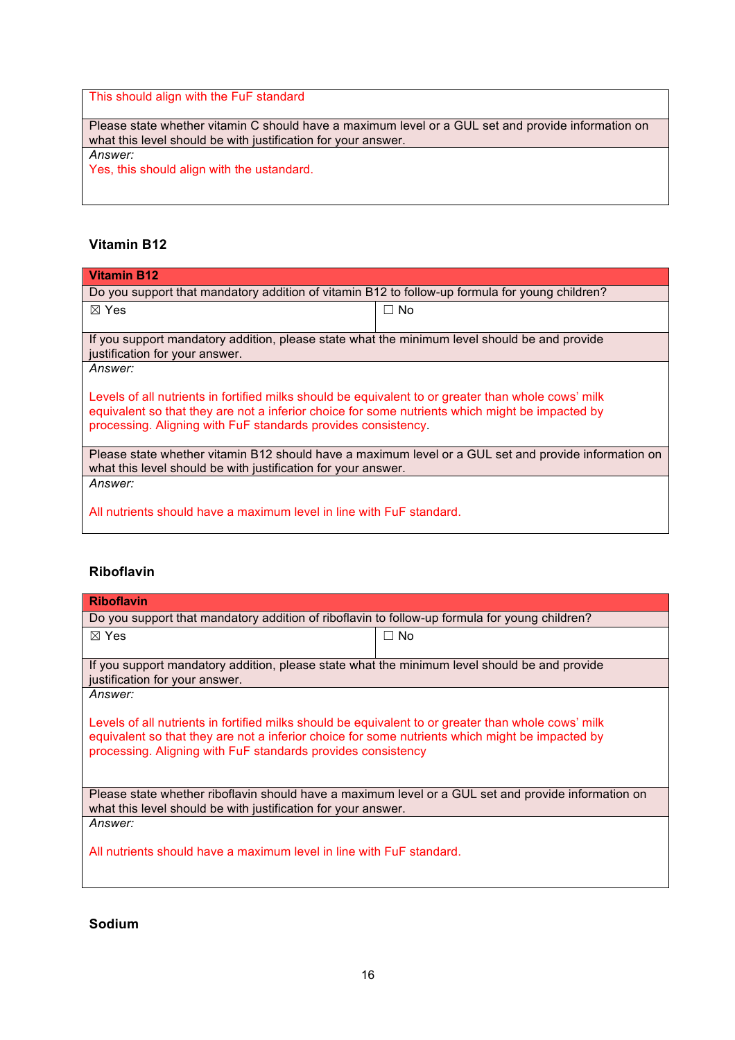This should align with the FuF standard

Please state whether vitamin C should have a maximum level or a GUL set and provide information on what this level should be with justification for your answer. *Answer:*

Yes, this should align with the ustandard.

## **Vitamin B12**

| Vitamin B12                                                                                                                                                                                                                                                             |           |  |
|-------------------------------------------------------------------------------------------------------------------------------------------------------------------------------------------------------------------------------------------------------------------------|-----------|--|
| Do you support that mandatory addition of vitamin B12 to follow-up formula for young children?                                                                                                                                                                          |           |  |
| $\boxtimes$ Yes                                                                                                                                                                                                                                                         | $\Box$ No |  |
| If you support mandatory addition, please state what the minimum level should be and provide<br>justification for your answer.                                                                                                                                          |           |  |
| <i>Answer:</i>                                                                                                                                                                                                                                                          |           |  |
| Levels of all nutrients in fortified milks should be equivalent to or greater than whole cows' milk<br>equivalent so that they are not a inferior choice for some nutrients which might be impacted by<br>processing. Aligning with FuF standards provides consistency. |           |  |
| Please state whether vitamin B12 should have a maximum level or a GUL set and provide information on<br>what this level should be with justification for your answer.                                                                                                   |           |  |
| Answer:                                                                                                                                                                                                                                                                 |           |  |
| All nutrients should have a maximum level in line with FuF standard.                                                                                                                                                                                                    |           |  |

## **Riboflavin**

| <b>Riboflavin</b>                                                                                                                                                                                                                                                      |           |  |
|------------------------------------------------------------------------------------------------------------------------------------------------------------------------------------------------------------------------------------------------------------------------|-----------|--|
| Do you support that mandatory addition of riboflavin to follow-up formula for young children?                                                                                                                                                                          |           |  |
| $\boxtimes$ Yes                                                                                                                                                                                                                                                        | $\Box$ No |  |
|                                                                                                                                                                                                                                                                        |           |  |
| If you support mandatory addition, please state what the minimum level should be and provide<br>justification for your answer.                                                                                                                                         |           |  |
| Answer:                                                                                                                                                                                                                                                                |           |  |
| Levels of all nutrients in fortified milks should be equivalent to or greater than whole cows' milk<br>equivalent so that they are not a inferior choice for some nutrients which might be impacted by<br>processing. Aligning with FuF standards provides consistency |           |  |
| Please state whether riboflavin should have a maximum level or a GUL set and provide information on<br>what this level should be with justification for your answer.                                                                                                   |           |  |
| Answer:                                                                                                                                                                                                                                                                |           |  |
| All nutrients should have a maximum level in line with FuF standard.                                                                                                                                                                                                   |           |  |

## **Sodium**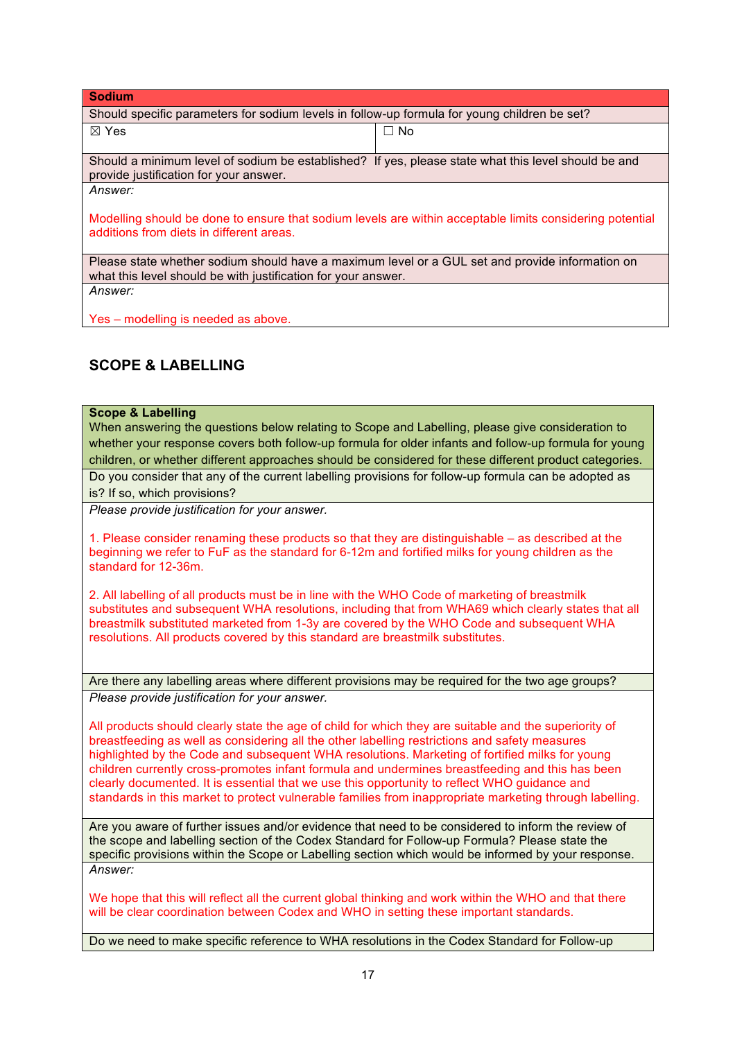| <b>Sodium</b>                                                                                                                                                    |           |  |
|------------------------------------------------------------------------------------------------------------------------------------------------------------------|-----------|--|
| Should specific parameters for sodium levels in follow-up formula for young children be set?                                                                     |           |  |
| $\boxtimes$ Yes                                                                                                                                                  | $\Box$ No |  |
| Should a minimum level of sodium be established? If yes, please state what this level should be and<br>provide justification for your answer.                    |           |  |
| Answer:                                                                                                                                                          |           |  |
| Modelling should be done to ensure that sodium levels are within acceptable limits considering potential<br>additions from diets in different areas.             |           |  |
| Please state whether sodium should have a maximum level or a GUL set and provide information on<br>what this level should be with justification for your answer. |           |  |
| Answer:                                                                                                                                                          |           |  |
| Yes - modelling is needed as above.                                                                                                                              |           |  |

# **SCOPE & LABELLING**

## **Scope & Labelling**

When answering the questions below relating to Scope and Labelling, please give consideration to whether your response covers both follow-up formula for older infants and follow-up formula for young children, or whether different approaches should be considered for these different product categories.

Do you consider that any of the current labelling provisions for follow-up formula can be adopted as is? If so, which provisions?

*Please provide justification for your answer.*

1. Please consider renaming these products so that they are distinguishable – as described at the beginning we refer to FuF as the standard for 6-12m and fortified milks for young children as the standard for 12-36m.

2. All labelling of all products must be in line with the WHO Code of marketing of breastmilk substitutes and subsequent WHA resolutions, including that from WHA69 which clearly states that all breastmilk substituted marketed from 1-3y are covered by the WHO Code and subsequent WHA resolutions. All products covered by this standard are breastmilk substitutes.

Are there any labelling areas where different provisions may be required for the two age groups? *Please provide justification for your answer.*

All products should clearly state the age of child for which they are suitable and the superiority of breastfeeding as well as considering all the other labelling restrictions and safety measures highlighted by the Code and subsequent WHA resolutions. Marketing of fortified milks for young children currently cross-promotes infant formula and undermines breastfeeding and this has been clearly documented. It is essential that we use this opportunity to reflect WHO guidance and standards in this market to protect vulnerable families from inappropriate marketing through labelling.

Are you aware of further issues and/or evidence that need to be considered to inform the review of the scope and labelling section of the Codex Standard for Follow-up Formula? Please state the specific provisions within the Scope or Labelling section which would be informed by your response. *Answer:*

We hope that this will reflect all the current global thinking and work within the WHO and that there will be clear coordination between Codex and WHO in setting these important standards.

Do we need to make specific reference to WHA resolutions in the Codex Standard for Follow-up